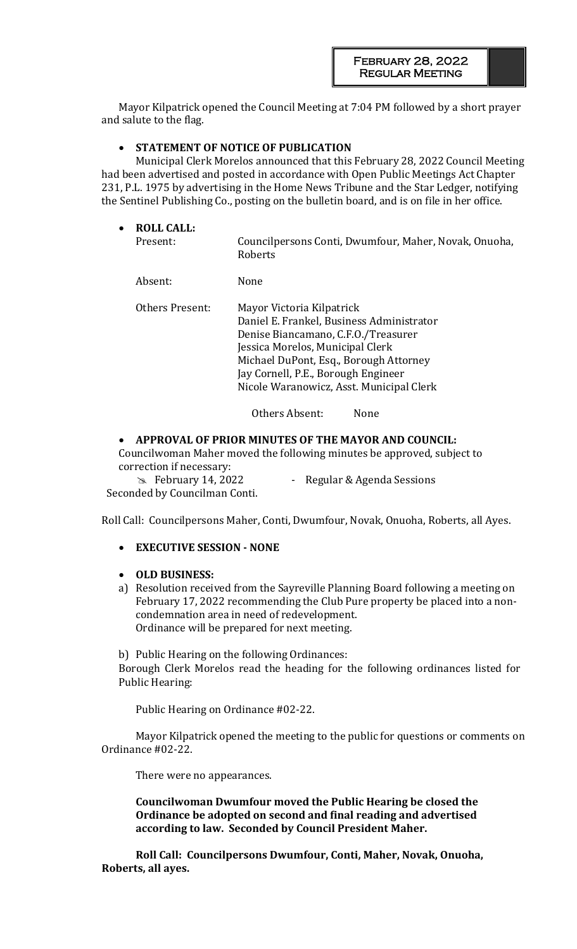Mayor Kilpatrick opened the Council Meeting at 7:04 PM followed by a short prayer and salute to the flag.

## • **STATEMENT OF NOTICE OF PUBLICATION**

Municipal Clerk Morelos announced that this February 28, 2022 Council Meeting had been advertised and posted in accordance with Open Public Meetings Act Chapter 231, P.L. 1975 by advertising in the Home News Tribune and the Star Ledger, notifying the Sentinel Publishing Co., posting on the bulletin board, and is on file in her office.

| $\bullet$ | <b>ROLL CALL:</b><br>Present: | Councilpersons Conti, Dwumfour, Maher, Novak, Onuoha,<br>Roberts                                                                                                                                                                                                               |
|-----------|-------------------------------|--------------------------------------------------------------------------------------------------------------------------------------------------------------------------------------------------------------------------------------------------------------------------------|
|           | Absent:                       | None                                                                                                                                                                                                                                                                           |
|           | <b>Others Present:</b>        | Mayor Victoria Kilpatrick<br>Daniel E. Frankel, Business Administrator<br>Denise Biancamano, C.F.O./Treasurer<br>Jessica Morelos, Municipal Clerk<br>Michael DuPont, Esq., Borough Attorney<br>Jay Cornell, P.E., Borough Engineer<br>Nicole Waranowicz, Asst. Municipal Clerk |
|           |                               | Others Absent:<br>None                                                                                                                                                                                                                                                         |

### • **APPROVAL OF PRIOR MINUTES OF THE MAYOR AND COUNCIL:**

Councilwoman Maher moved the following minutes be approved, subject to correction if necessary:

**Example 14, 2022** - Regular & Agenda Sessions Seconded by Councilman Conti.

Roll Call: Councilpersons Maher, Conti, Dwumfour, Novak, Onuoha, Roberts, all Ayes.

• **EXECUTIVE SESSION - NONE**

### • **OLD BUSINESS:**

a) Resolution received from the Sayreville Planning Board following a meeting on February 17, 2022 recommending the Club Pure property be placed into a noncondemnation area in need of redevelopment. Ordinance will be prepared for next meeting.

b) Public Hearing on the following Ordinances:

Borough Clerk Morelos read the heading for the following ordinances listed for Public Hearing:

Public Hearing on Ordinance #02-22.

Mayor Kilpatrick opened the meeting to the public for questions or comments on Ordinance #02-22.

There were no appearances.

**Councilwoman Dwumfour moved the Public Hearing be closed the Ordinance be adopted on second and final reading and advertised according to law. Seconded by Council President Maher.** 

**Roll Call: Councilpersons Dwumfour, Conti, Maher, Novak, Onuoha, Roberts, all ayes.**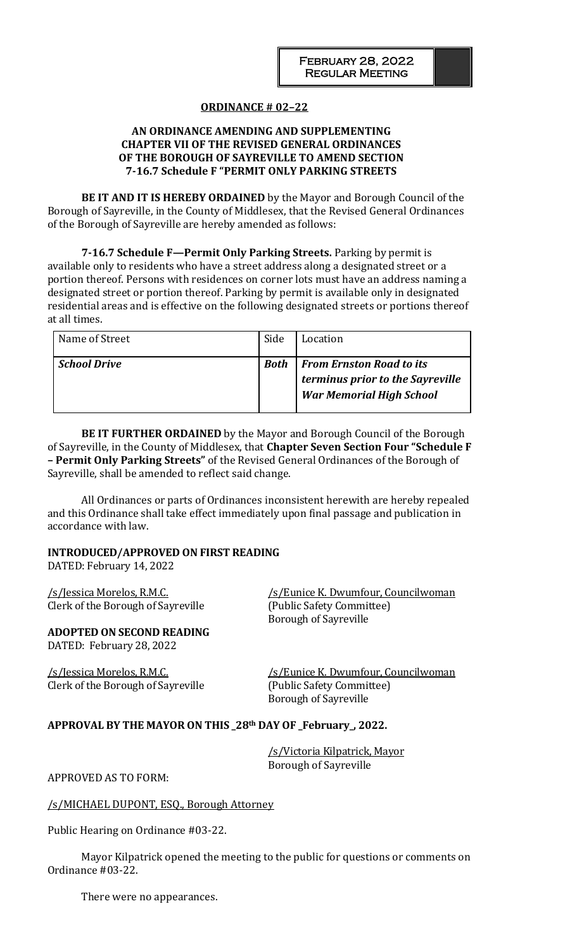## **ORDINANCE # 02–22**

## **AN ORDINANCE AMENDING AND SUPPLEMENTING CHAPTER VII OF THE REVISED GENERAL ORDINANCES OF THE BOROUGH OF SAYREVILLE TO AMEND SECTION 7-16.7 Schedule F "PERMIT ONLY PARKING STREETS**

**BE IT AND IT IS HEREBY ORDAINED** by the Mayor and Borough Council of the Borough of Sayreville, in the County of Middlesex, that the Revised General Ordinances of the Borough of Sayreville are hereby amended as follows:

**7-16.7 Schedule F—Permit Only Parking Streets.** Parking by permit is available only to residents who have a street address along a designated street or a portion thereof. Persons with residences on corner lots must have an address naming a designated street or portion thereof. Parking by permit is available only in designated residential areas and is effective on the following designated streets or portions thereof at all times.

| Name of Street      | Side        | Location                                                                                               |
|---------------------|-------------|--------------------------------------------------------------------------------------------------------|
| <b>School Drive</b> | <b>Both</b> | <b>From Ernston Road to its</b><br>terminus prior to the Sayreville<br><b>War Memorial High School</b> |

**BE IT FURTHER ORDAINED** by the Mayor and Borough Council of the Borough of Sayreville, in the County of Middlesex, that **Chapter Seven Section Four "Schedule F – Permit Only Parking Streets"** of the Revised General Ordinances of the Borough of Sayreville, shall be amended to reflect said change.

All Ordinances or parts of Ordinances inconsistent herewith are hereby repealed and this Ordinance shall take effect immediately upon final passage and publication in accordance with law.

### **INTRODUCED/APPROVED ON FIRST READING**

DATED: February 14, 2022

Clerk of the Borough of Sayreville (Public Safety Committee)

# **ADOPTED ON SECOND READING**

DATED: February 28, 2022

Clerk of the Borough of Sayreville (Public Safety Committee)

/s/Jessica Morelos, R.M.C. /s/Eunice K. Dwumfour, Councilwoman Borough of Sayreville

/s/Jessica Morelos, R.M.C. /s/Eunice K. Dwumfour, Councilwoman Borough of Sayreville

## **APPROVAL BY THE MAYOR ON THIS \_28th DAY OF \_February\_, 2022.**

/s/Victoria Kilpatrick, Mayor Borough of Sayreville

APPROVED AS TO FORM:

/s/MICHAEL DUPONT, ESQ., Borough Attorney

Public Hearing on Ordinance #03-22.

Mayor Kilpatrick opened the meeting to the public for questions or comments on Ordinance #03-22.

There were no appearances.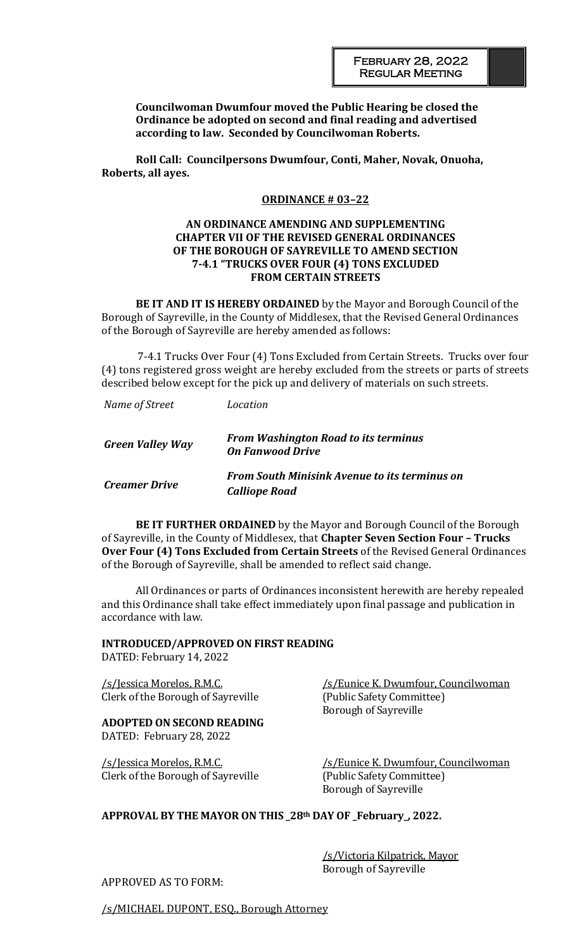**Councilwoman Dwumfour moved the Public Hearing be closed the Ordinance be adopted on second and final reading and advertised according to law. Seconded by Councilwoman Roberts.** 

**Roll Call: Councilpersons Dwumfour, Conti, Maher, Novak, Onuoha, Roberts, all ayes.**

#### **ORDINANCE # 03–22**

### **AN ORDINANCE AMENDING AND SUPPLEMENTING CHAPTER VII OF THE REVISED GENERAL ORDINANCES OF THE BOROUGH OF SAYREVILLE TO AMEND SECTION 7-4.1 "TRUCKS OVER FOUR (4) TONS EXCLUDED FROM CERTAIN STREETS**

**BE IT AND IT IS HEREBY ORDAINED** by the Mayor and Borough Council of the Borough of Sayreville, in the County of Middlesex, that the Revised General Ordinances of the Borough of Sayreville are hereby amended as follows:

7-4.1 Trucks Over Four (4) Tons Excluded from Certain Streets. Trucks over four (4) tons registered gross weight are hereby excluded from the streets or parts of streets described below except for the pick up and delivery of materials on such streets.

| Name of Street          | Location                                                                     |
|-------------------------|------------------------------------------------------------------------------|
| <b>Green Valley Way</b> | <b>From Washington Road to its terminus</b><br><b>On Fanwood Drive</b>       |
| <b>Creamer Drive</b>    | <b>From South Minisink Avenue to its terminus on</b><br><b>Calliope Road</b> |

**BE IT FURTHER ORDAINED** by the Mayor and Borough Council of the Borough of Sayreville, in the County of Middlesex, that **Chapter Seven Section Four – Trucks Over Four (4) Tons Excluded from Certain Streets** of the Revised General Ordinances of the Borough of Sayreville, shall be amended to reflect said change.

All Ordinances or parts of Ordinances inconsistent herewith are hereby repealed and this Ordinance shall take effect immediately upon final passage and publication in accordance with law.

#### **INTRODUCED/APPROVED ON FIRST READING**

DATED: February 14, 2022

Clerk of the Borough of Sayreville (Public Safety Committee)

### **ADOPTED ON SECOND READING** DATED: February 28, 2022

Clerk of the Borough of Sayreville (Public Safety Committee)

/s/Jessica Morelos, R.M.C. /s/Eunice K. Dwumfour, Councilwoman Borough of Sayreville

/s/Jessica Morelos, R.M.C. /s/Eunice K. Dwumfour, Councilwoman Borough of Sayreville

## **APPROVAL BY THE MAYOR ON THIS \_28th DAY OF \_February\_, 2022.**

/s/Victoria Kilpatrick, Mayor Borough of Sayreville

APPROVED AS TO FORM:

/s/MICHAEL DUPONT, ESQ., Borough Attorney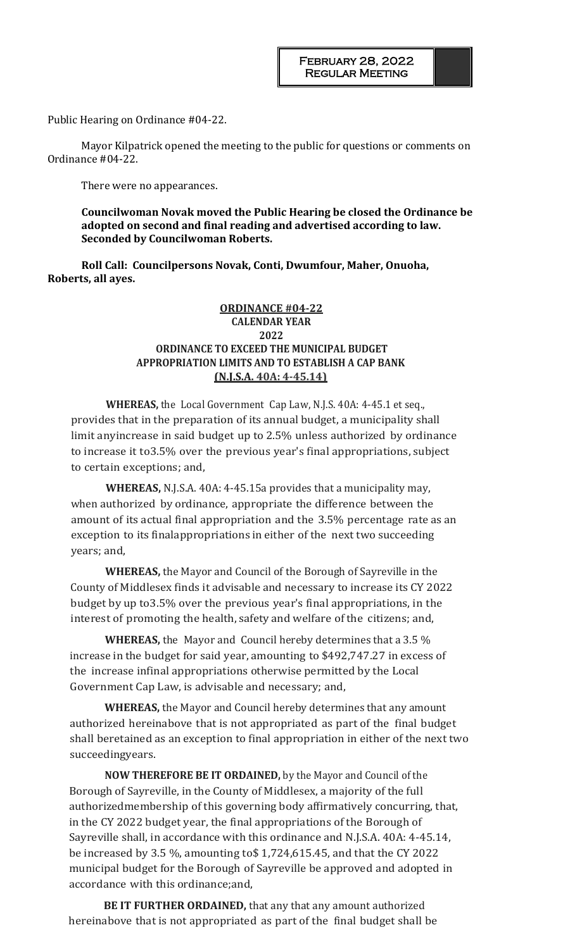Public Hearing on Ordinance #04-22.

Mayor Kilpatrick opened the meeting to the public for questions or comments on Ordinance #04-22.

There were no appearances.

**Councilwoman Novak moved the Public Hearing be closed the Ordinance be adopted on second and final reading and advertised according to law. Seconded by Councilwoman Roberts.** 

**Roll Call: Councilpersons Novak, Conti, Dwumfour, Maher, Onuoha, Roberts, all ayes.**

## **ORDINANCE #04-22 CALENDAR YEAR 2022 ORDINANCE TO EXCEED THE MUNICIPAL BUDGET APPROPRIATION LIMITS AND TO ESTABLISH A CAP BANK (N.J.S.A. 40A: 4-45.14)**

**WHEREAS,** the Local Government Cap Law, N.J.S. 40A: 4-45.1 et seq., provides that in the preparation of its annual budget, a municipality shall limit anyincrease in said budget up to 2.5% unless authorized by ordinance to increase it to3.5% over the previous year's final appropriations, subject to certain exceptions; and,

**WHEREAS,** N.J.S.A. 40A: 4-45.15a provides that a municipality may, when authorized by ordinance, appropriate the difference between the amount of its actual final appropriation and the 3.5% percentage rate as an exception to its finalappropriations in either of the next two succeeding years; and,

**WHEREAS,** the Mayor and Council of the Borough of Sayreville in the County of Middlesex finds it advisable and necessary to increase its CY 2022 budget by up to3.5% over the previous year's final appropriations, in the interest of promoting the health, safety and welfare of the citizens; and,

**WHEREAS,** the Mayor and Council hereby determines that a 3.5 % increase in the budget for said year, amounting to \$492,747.27 in excess of the increase infinal appropriations otherwise permitted by the Local Government Cap Law, is advisable and necessary; and,

**WHEREAS,** the Mayor and Council hereby determines that any amount authorized hereinabove that is not appropriated as part of the final budget shall beretained as an exception to final appropriation in either of the next two succeedingyears.

**NOW THEREFORE BE IT ORDAINED,** by the Mayor and Council of the Borough of Sayreville, in the County of Middlesex, a majority of the full authorizedmembership of this governing body affirmatively concurring, that, in the CY 2022 budget year, the final appropriations of the Borough of Sayreville shall, in accordance with this ordinance and N.J.S.A. 40A: 4-45.14, be increased by 3.5 %, amounting to\$ 1,724,615.45, and that the CY 2022 municipal budget for the Borough of Sayreville be approved and adopted in accordance with this ordinance;and,

**BE IT FURTHER ORDAINED,** that any that any amount authorized hereinabove that is not appropriated as part of the final budget shall be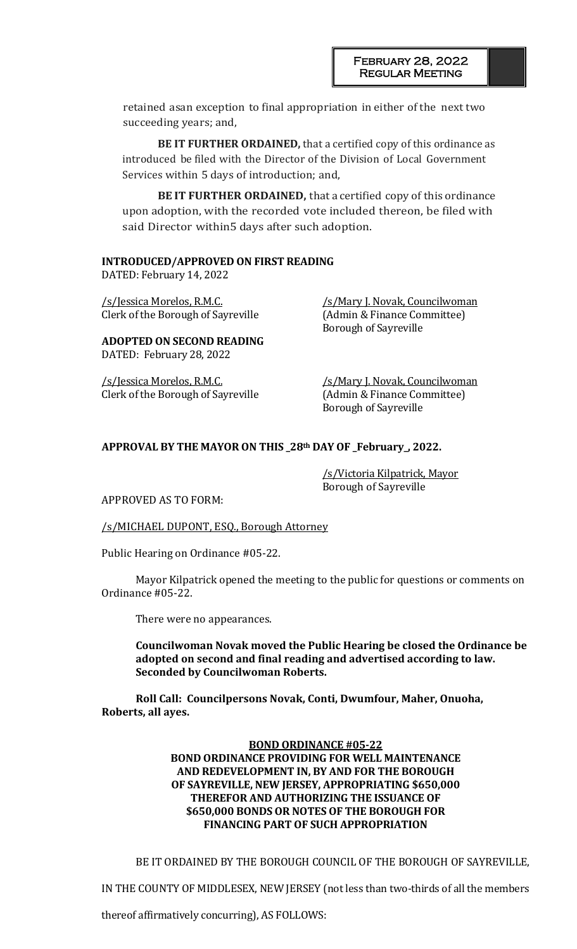retained asan exception to final appropriation in either of the next two succeeding years; and,

**BE IT FURTHER ORDAINED,** that a certified copy of this ordinance as introduced be filed with the Director of the Division of Local Government Services within 5 days of introduction; and,

**BE IT FURTHER ORDAINED,** that a certified copy of this ordinance upon adoption, with the recorded vote included thereon, be filed with said Director within5 days after such adoption.

### **INTRODUCED/APPROVED ON FIRST READING**

DATED: February 14, 2022

/s/Jessica Morelos, R.M.C. /s/Mary J. Novak, Councilwoman Clerk of the Borough of Sayreville (Admin & Finance Committee)

Borough of Sayreville

**ADOPTED ON SECOND READING** DATED: February 28, 2022

/s/Jessica Morelos, R.M.C. /s/Mary J. Novak, Councilwoman Clerk of the Borough of Sayreville (Admin & Finance Committee)

Borough of Sayreville

### **APPROVAL BY THE MAYOR ON THIS \_28th DAY OF \_February\_, 2022.**

/s/Victoria Kilpatrick, Mayor Borough of Sayreville

APPROVED AS TO FORM:

/s/MICHAEL DUPONT, ESQ., Borough Attorney

Public Hearing on Ordinance #05-22.

Mayor Kilpatrick opened the meeting to the public for questions or comments on Ordinance #05-22.

There were no appearances.

**Councilwoman Novak moved the Public Hearing be closed the Ordinance be adopted on second and final reading and advertised according to law. Seconded by Councilwoman Roberts.** 

**Roll Call: Councilpersons Novak, Conti, Dwumfour, Maher, Onuoha, Roberts, all ayes.**

### **BOND ORDINANCE #05-22 BOND ORDINANCE PROVIDING FOR WELL MAINTENANCE AND REDEVELOPMENT IN, BY AND FOR THE BOROUGH OF SAYREVILLE, NEW JERSEY, APPROPRIATING \$650,000 THEREFOR AND AUTHORIZING THE ISSUANCE OF \$650,000 BONDS OR NOTES OF THE BOROUGH FOR FINANCING PART OF SUCH APPROPRIATION**

BE IT ORDAINED BY THE BOROUGH COUNCIL OF THE BOROUGH OF SAYREVILLE,

IN THE COUNTY OF MIDDLESEX, NEW JERSEY (not less than two-thirds of all the members

thereof affirmatively concurring), AS FOLLOWS: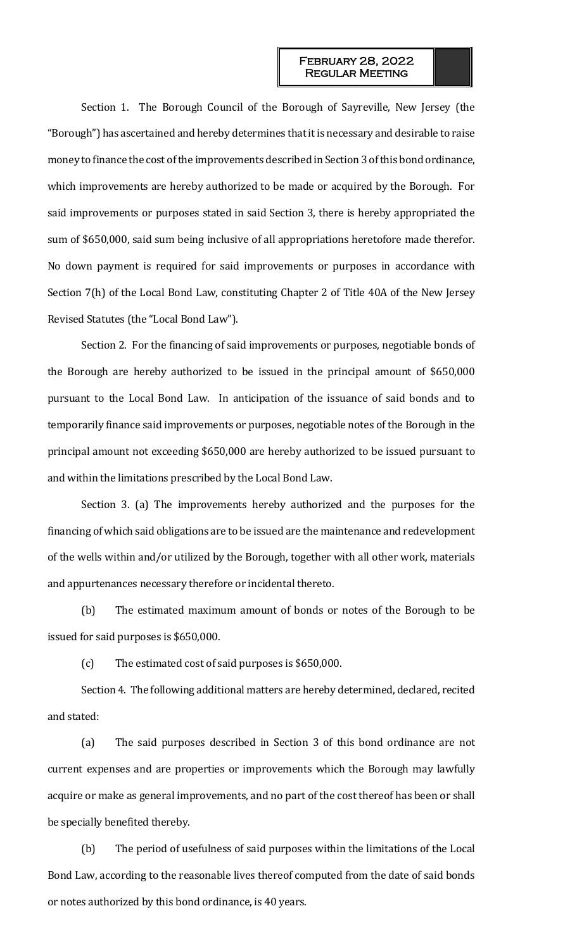Section 1. The Borough Council of the Borough of Sayreville, New Jersey (the "Borough") has ascertained and hereby determines that it is necessary and desirable to raise money to finance the cost of the improvements described in Section 3 of this bond ordinance, which improvements are hereby authorized to be made or acquired by the Borough. For said improvements or purposes stated in said Section 3, there is hereby appropriated the sum of \$650,000, said sum being inclusive of all appropriations heretofore made therefor. No down payment is required for said improvements or purposes in accordance with Section 7(h) of the Local Bond Law, constituting Chapter 2 of Title 40A of the New Jersey Revised Statutes (the "Local Bond Law").

Section 2. For the financing of said improvements or purposes, negotiable bonds of the Borough are hereby authorized to be issued in the principal amount of \$650,000 pursuant to the Local Bond Law. In anticipation of the issuance of said bonds and to temporarily finance said improvements or purposes, negotiable notes of the Borough in the principal amount not exceeding \$650,000 are hereby authorized to be issued pursuant to and within the limitations prescribed by the Local Bond Law.

Section 3. (a) The improvements hereby authorized and the purposes for the financing of which said obligations are to be issued are the maintenance and redevelopment of the wells within and/or utilized by the Borough, together with all other work, materials and appurtenances necessary therefore or incidental thereto.

(b) The estimated maximum amount of bonds or notes of the Borough to be issued for said purposes is \$650,000.

(c) The estimated cost of said purposes is \$650,000.

Section 4. The following additional matters are hereby determined, declared, recited and stated:

(a) The said purposes described in Section 3 of this bond ordinance are not current expenses and are properties or improvements which the Borough may lawfully acquire or make as general improvements, and no part of the cost thereof has been or shall be specially benefited thereby.

(b) The period of usefulness of said purposes within the limitations of the Local Bond Law, according to the reasonable lives thereof computed from the date of said bonds or notes authorized by this bond ordinance, is 40 years.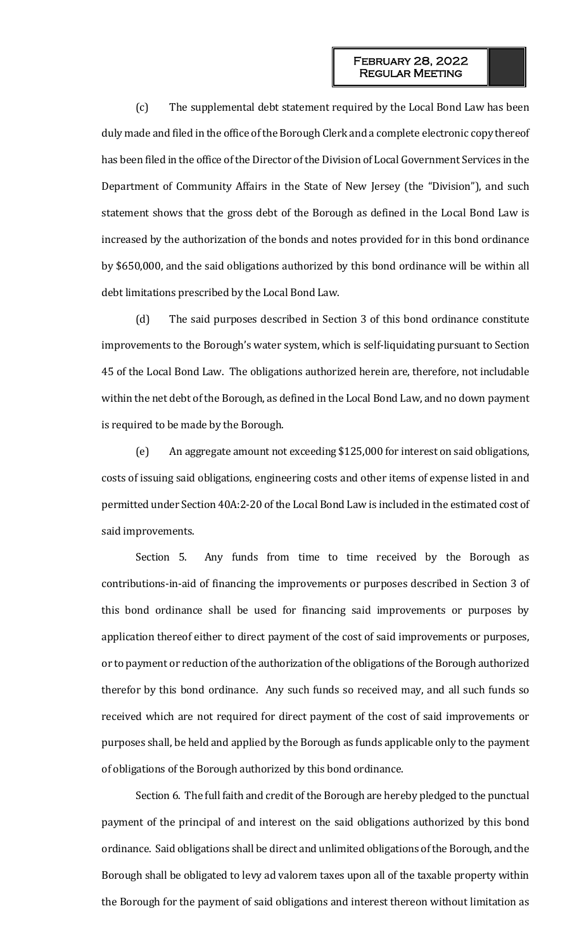(c) The supplemental debt statement required by the Local Bond Law has been duly made and filed in the office of the Borough Clerk and a complete electronic copy thereof has been filed in the office of the Director of the Division of Local Government Services in the Department of Community Affairs in the State of New Jersey (the "Division"), and such statement shows that the gross debt of the Borough as defined in the Local Bond Law is increased by the authorization of the bonds and notes provided for in this bond ordinance by \$650,000, and the said obligations authorized by this bond ordinance will be within all debt limitations prescribed by the Local Bond Law.

(d) The said purposes described in Section 3 of this bond ordinance constitute improvements to the Borough's water system, which is self-liquidating pursuant to Section 45 of the Local Bond Law. The obligations authorized herein are, therefore, not includable within the net debt of the Borough, as defined in the Local Bond Law, and no down payment is required to be made by the Borough.

(e) An aggregate amount not exceeding \$125,000 for interest on said obligations, costs of issuing said obligations, engineering costs and other items of expense listed in and permitted under Section 40A:2-20 of the Local Bond Law is included in the estimated cost of said improvements.

Section 5. Any funds from time to time received by the Borough as contributions-in-aid of financing the improvements or purposes described in Section 3 of this bond ordinance shall be used for financing said improvements or purposes by application thereof either to direct payment of the cost of said improvements or purposes, or to payment or reduction of the authorization of the obligations of the Borough authorized therefor by this bond ordinance. Any such funds so received may, and all such funds so received which are not required for direct payment of the cost of said improvements or purposes shall, be held and applied by the Borough as funds applicable only to the payment of obligations of the Borough authorized by this bond ordinance.

Section 6. The full faith and credit of the Borough are hereby pledged to the punctual payment of the principal of and interest on the said obligations authorized by this bond ordinance. Said obligations shall be direct and unlimited obligations of the Borough, and the Borough shall be obligated to levy ad valorem taxes upon all of the taxable property within the Borough for the payment of said obligations and interest thereon without limitation as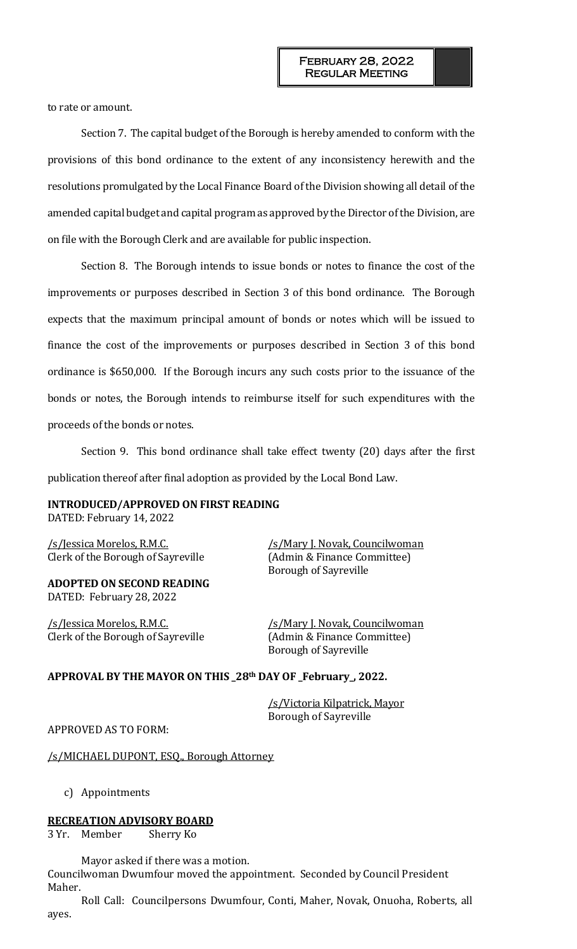to rate or amount.

Section 7. The capital budget of the Borough is hereby amended to conform with the provisions of this bond ordinance to the extent of any inconsistency herewith and the resolutions promulgated by the Local Finance Board of the Division showing all detail of the amended capital budget and capital program as approved by the Director of the Division, are on file with the Borough Clerk and are available for public inspection.

Section 8. The Borough intends to issue bonds or notes to finance the cost of the improvements or purposes described in Section 3 of this bond ordinance. The Borough expects that the maximum principal amount of bonds or notes which will be issued to finance the cost of the improvements or purposes described in Section 3 of this bond ordinance is \$650,000. If the Borough incurs any such costs prior to the issuance of the bonds or notes, the Borough intends to reimburse itself for such expenditures with the proceeds of the bonds or notes.

Section 9. This bond ordinance shall take effect twenty (20) days after the first publication thereof after final adoption as provided by the Local Bond Law.

#### **INTRODUCED/APPROVED ON FIRST READING** DATED: February 14, 2022

/s/Jessica Morelos, R.M.C. /s/Mary J. Novak, Councilwoman

**ADOPTED ON SECOND READING** DATED: February 28, 2022

Clerk of the Borough of Sayreville (Admin & Finance Committee)

Clerk of the Borough of Sayreville (Admin & Finance Committee) Borough of Sayreville

/s/Jessica Morelos, R.M.C. /s/Mary J. Novak, Councilwoman Borough of Sayreville

### **APPROVAL BY THE MAYOR ON THIS \_28th DAY OF \_February\_, 2022.**

/s/Victoria Kilpatrick, Mayor Borough of Sayreville

APPROVED AS TO FORM:

/s/MICHAEL DUPONT, ESQ., Borough Attorney

c) Appointments

#### **RECREATION ADVISORY BOARD**

3 Yr. Member Sherry Ko

Mayor asked if there was a motion. Councilwoman Dwumfour moved the appointment. Seconded by Council President Maher.

Roll Call: Councilpersons Dwumfour, Conti, Maher, Novak, Onuoha, Roberts, all ayes.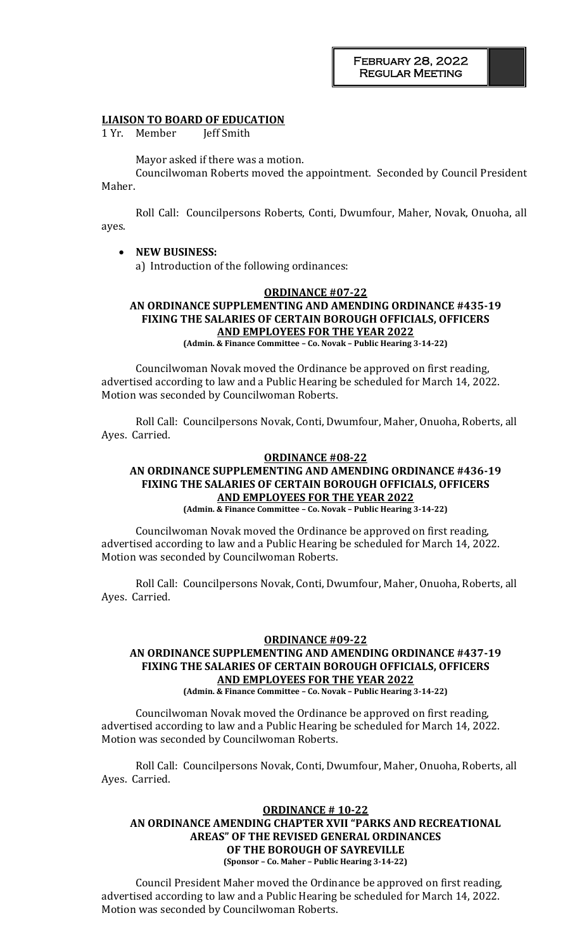#### **LIAISON TO BOARD OF EDUCATION**

1 Yr. Member Jeff Smith

Mayor asked if there was a motion.

Councilwoman Roberts moved the appointment. Seconded by Council President Maher.

Roll Call: Councilpersons Roberts, Conti, Dwumfour, Maher, Novak, Onuoha, all ayes.

• **NEW BUSINESS:**  a) Introduction of the following ordinances:

#### **ORDINANCE #07-22**

# **AN ORDINANCE SUPPLEMENTING AND AMENDING ORDINANCE #435-19 FIXING THE SALARIES OF CERTAIN BOROUGH OFFICIALS, OFFICERS AND EMPLOYEES FOR THE YEAR 2022**

**(Admin. & Finance Committee – Co. Novak – Public Hearing 3-14-22)**

Councilwoman Novak moved the Ordinance be approved on first reading, advertised according to law and a Public Hearing be scheduled for March 14, 2022. Motion was seconded by Councilwoman Roberts.

Roll Call: Councilpersons Novak, Conti, Dwumfour, Maher, Onuoha, Roberts, all Ayes. Carried.

## **ORDINANCE #08-22 AN ORDINANCE SUPPLEMENTING AND AMENDING ORDINANCE #436-19 FIXING THE SALARIES OF CERTAIN BOROUGH OFFICIALS, OFFICERS AND EMPLOYEES FOR THE YEAR 2022**

**(Admin. & Finance Committee – Co. Novak – Public Hearing 3-14-22)**

Councilwoman Novak moved the Ordinance be approved on first reading, advertised according to law and a Public Hearing be scheduled for March 14, 2022. Motion was seconded by Councilwoman Roberts.

Roll Call: Councilpersons Novak, Conti, Dwumfour, Maher, Onuoha, Roberts, all Ayes. Carried.

## **ORDINANCE #09-22 AN ORDINANCE SUPPLEMENTING AND AMENDING ORDINANCE #437-19 FIXING THE SALARIES OF CERTAIN BOROUGH OFFICIALS, OFFICERS AND EMPLOYEES FOR THE YEAR 2022**

**(Admin. & Finance Committee – Co. Novak – Public Hearing 3-14-22)**

Councilwoman Novak moved the Ordinance be approved on first reading, advertised according to law and a Public Hearing be scheduled for March 14, 2022. Motion was seconded by Councilwoman Roberts.

Roll Call: Councilpersons Novak, Conti, Dwumfour, Maher, Onuoha, Roberts, all Ayes. Carried.

#### **ORDINANCE # 10-22**

#### **AN ORDINANCE AMENDING CHAPTER XVII "PARKS AND RECREATIONAL AREAS" OF THE REVISED GENERAL ORDINANCES OF THE BOROUGH OF SAYREVILLE (Sponsor – Co. Maher – Public Hearing 3-14-22)**

Council President Maher moved the Ordinance be approved on first reading, advertised according to law and a Public Hearing be scheduled for March 14, 2022. Motion was seconded by Councilwoman Roberts.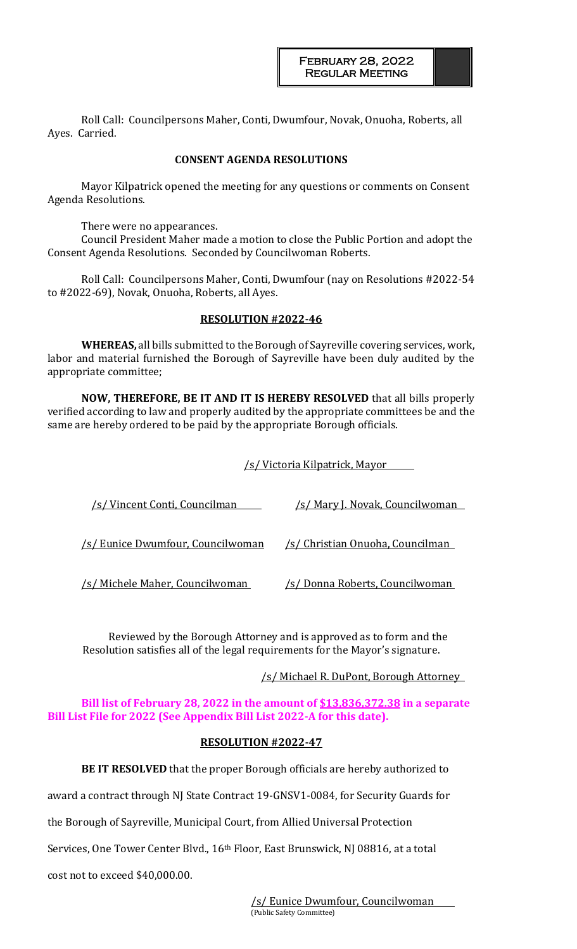Roll Call: Councilpersons Maher, Conti, Dwumfour, Novak, Onuoha, Roberts, all Ayes. Carried.

### **CONSENT AGENDA RESOLUTIONS**

Mayor Kilpatrick opened the meeting for any questions or comments on Consent Agenda Resolutions.

There were no appearances.

Council President Maher made a motion to close the Public Portion and adopt the Consent Agenda Resolutions. Seconded by Councilwoman Roberts.

Roll Call: Councilpersons Maher, Conti, Dwumfour (nay on Resolutions #2022-54 to #2022-69), Novak, Onuoha, Roberts, all Ayes.

#### **RESOLUTION #2022-46**

**WHEREAS,** all bills submitted to the Borough of Sayreville covering services, work, labor and material furnished the Borough of Sayreville have been duly audited by the appropriate committee;

**NOW, THEREFORE, BE IT AND IT IS HEREBY RESOLVED** that all bills properly verified according to law and properly audited by the appropriate committees be and the same are hereby ordered to be paid by the appropriate Borough officials.

/s/ Victoria Kilpatrick, Mayor

| /s/ Vincent Conti, Councilman     | /s/ Mary J. Novak, Councilwoman  |
|-----------------------------------|----------------------------------|
|                                   |                                  |
| /s/ Eunice Dwumfour, Councilwoman | /s/ Christian Onuoha, Councilman |
| /s/ Michele Maher, Councilwoman   | /s/ Donna Roberts, Councilwoman  |

Reviewed by the Borough Attorney and is approved as to form and the Resolution satisfies all of the legal requirements for the Mayor's signature.

/s/ Michael R. DuPont, Borough Attorney

**Bill list of February 28, 2022 in the amount of \$13,836,372.38 in a separate Bill List File for 2022 (See Appendix Bill List 2022-A for this date).**

#### **RESOLUTION #2022-47**

**BE IT RESOLVED** that the proper Borough officials are hereby authorized to

award a contract through NJ State Contract 19-GNSV1-0084, for Security Guards for

the Borough of Sayreville, Municipal Court, from Allied Universal Protection

Services, One Tower Center Blvd., 16<sup>th</sup> Floor, East Brunswick, NJ 08816, at a total

cost not to exceed \$40,000.00.

/s/ Eunice Dwumfour, Councilwoman (Public Safety Committee)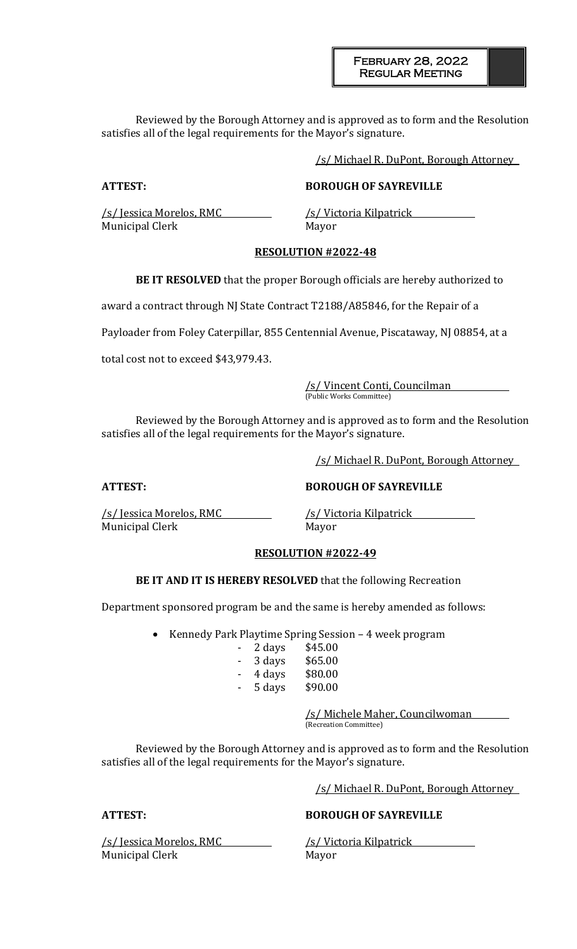February 28, 2022 Regular Meeting

Reviewed by the Borough Attorney and is approved as to form and the Resolution satisfies all of the legal requirements for the Mayor's signature.

/s/ Michael R. DuPont, Borough Attorney

## **ATTEST: BOROUGH OF SAYREVILLE**

Municipal Clerk Mayor

/s/ Jessica Morelos, RMC /s/ Victoria Kilpatrick

## **RESOLUTION #2022-48**

**BE IT RESOLVED** that the proper Borough officials are hereby authorized to

award a contract through NJ State Contract T2188/A85846, for the Repair of a

Payloader from Foley Caterpillar, 855 Centennial Avenue, Piscataway, NJ 08854, at a

total cost not to exceed \$43,979.43.

/s/ Vincent Conti, Councilman (Public Works Committee)

Reviewed by the Borough Attorney and is approved as to form and the Resolution satisfies all of the legal requirements for the Mayor's signature.

/s/ Michael R. DuPont, Borough Attorney

### **ATTEST: BOROUGH OF SAYREVILLE**

/s/ Jessica Morelos, RMC /s/ Victoria Kilpatrick Municipal Clerk Mayor

### **RESOLUTION #2022-49**

### **BE IT AND IT IS HEREBY RESOLVED** that the following Recreation

Department sponsored program be and the same is hereby amended as follows:

• Kennedy Park Playtime Spring Session – 4 week program

| -                        | 2 days | \$45.00 |
|--------------------------|--------|---------|
| -                        | 3 days | \$65.00 |
| $\overline{\phantom{0}}$ | 4 days | \$80.00 |

- 5 days \$90.00

/s/ Michele Maher, Councilwoman

(Recreation Committee)

Reviewed by the Borough Attorney and is approved as to form and the Resolution satisfies all of the legal requirements for the Mayor's signature.

/s/ Michael R. DuPont, Borough Attorney

/s/ Jessica Morelos, RMC /s/ Victoria Kilpatrick Municipal Clerk Mayor

# **ATTEST: BOROUGH OF SAYREVILLE**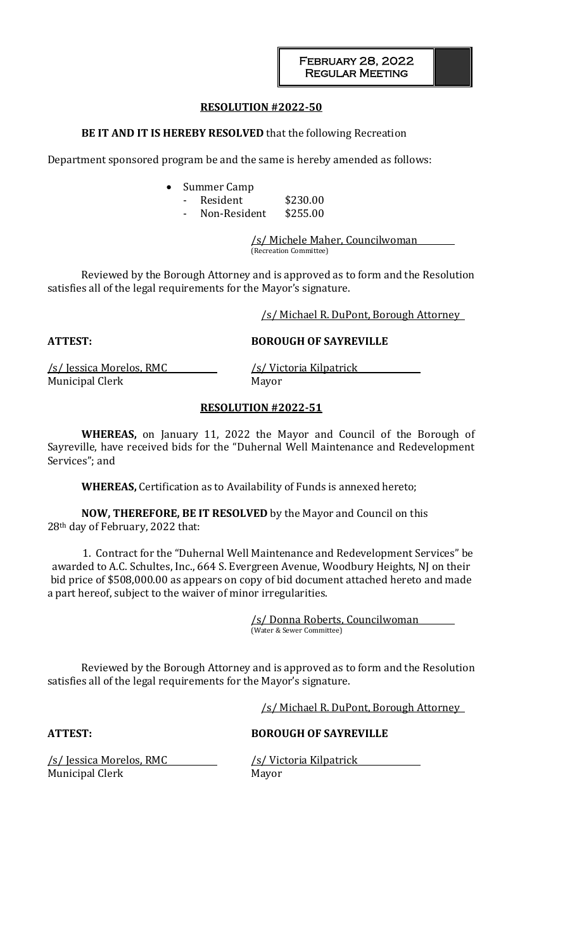### **RESOLUTION #2022-50**

## **BE IT AND IT IS HEREBY RESOLVED** that the following Recreation

Department sponsored program be and the same is hereby amended as follows:

- Summer Camp
	- Resident \$230.00
	- Non-Resident \$255.00

/s/ Michele Maher, Councilwoman (Recreation Committee)

Reviewed by the Borough Attorney and is approved as to form and the Resolution satisfies all of the legal requirements for the Mayor's signature.

/s/ Michael R. DuPont, Borough Attorney

**ATTEST: BOROUGH OF SAYREVILLE**

/s/ Jessica Morelos, RMC /s/ Victoria Kilpatrick Municipal Clerk Mayor

### **RESOLUTION #2022-51**

**WHEREAS,** on January 11, 2022 the Mayor and Council of the Borough of Sayreville, have received bids for the "Duhernal Well Maintenance and Redevelopment Services"; and

**WHEREAS,** Certification as to Availability of Funds is annexed hereto;

**NOW, THEREFORE, BE IT RESOLVED** by the Mayor and Council on this 28th day of February, 2022 that:

1. Contract for the "Duhernal Well Maintenance and Redevelopment Services" be awarded to A.C. Schultes, Inc., 664 S. Evergreen Avenue, Woodbury Heights, NJ on their bid price of \$508,000.00 as appears on copy of bid document attached hereto and made a part hereof, subject to the waiver of minor irregularities.

> /s/ Donna Roberts, Councilwoman (Water & Sewer Committee)

Reviewed by the Borough Attorney and is approved as to form and the Resolution satisfies all of the legal requirements for the Mayor's signature.

/s/ Michael R. DuPont, Borough Attorney

**ATTEST: BOROUGH OF SAYREVILLE**

Municipal Clerk Mayor

/s/ Jessica Morelos, RMC /s/ Victoria Kilpatrick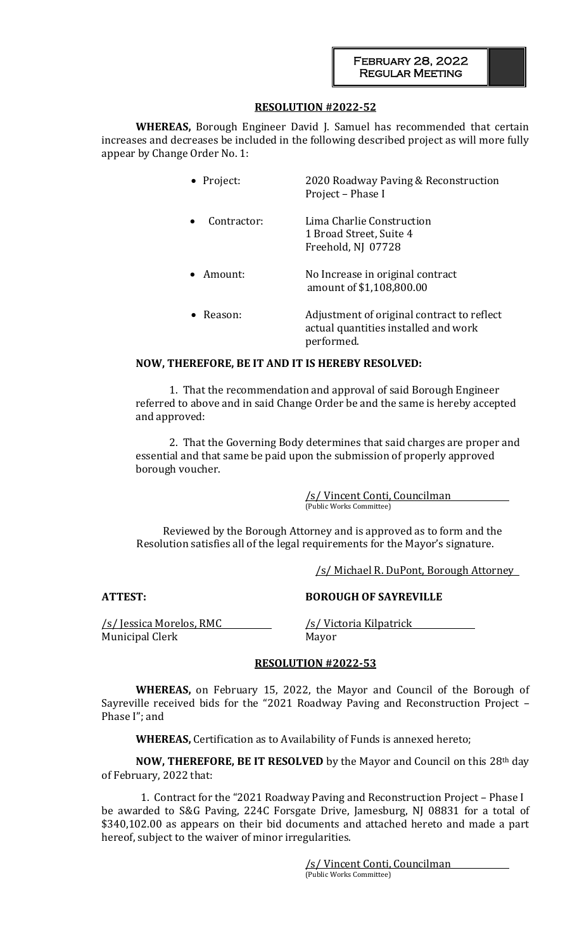## **RESOLUTION #2022-52**

**WHEREAS,** Borough Engineer David J. Samuel has recommended that certain increases and decreases be included in the following described project as will more fully appear by Change Order No. 1:

| • Project:                                   | 2020 Roadway Paving & Reconstruction<br>Project - Phase I                                        |  |
|----------------------------------------------|--------------------------------------------------------------------------------------------------|--|
| Contractor:                                  | Lima Charlie Construction<br>1 Broad Street, Suite 4<br>Freehold, NJ 07728                       |  |
| Amount:                                      | No Increase in original contract<br>amount of \$1,108,800.00                                     |  |
| Reason:                                      | Adjustment of original contract to reflect<br>actual quantities installed and work<br>performed. |  |
| DE IT AND IT IC UEDEDV DECAI VED.<br>CDCCADC |                                                                                                  |  |

## **NOW, THEREFORE, BE IT AND IT IS HEREBY RESOLVED:**

1. That the recommendation and approval of said Borough Engineer referred to above and in said Change Order be and the same is hereby accepted and approved:

2. That the Governing Body determines that said charges are proper and essential and that same be paid upon the submission of properly approved borough voucher.

> /s/ Vincent Conti, Councilman (Public Works Committee)

Reviewed by the Borough Attorney and is approved as to form and the Resolution satisfies all of the legal requirements for the Mayor's signature.

/s/ Michael R. DuPont, Borough Attorney

/s/ Jessica Morelos, RMC /s/ Victoria Kilpatrick Municipal Clerk Mayor

### **ATTEST: BOROUGH OF SAYREVILLE**

### **RESOLUTION #2022-53**

**WHEREAS,** on February 15, 2022, the Mayor and Council of the Borough of Sayreville received bids for the "2021 Roadway Paving and Reconstruction Project – Phase I"; and

**WHEREAS,** Certification as to Availability of Funds is annexed hereto;

**NOW, THEREFORE, BE IT RESOLVED** by the Mayor and Council on this 28th day of February, 2022 that:

1. Contract for the "2021 Roadway Paving and Reconstruction Project – Phase I be awarded to S&G Paving, 224C Forsgate Drive, Jamesburg, NJ 08831 for a total of \$340,102.00 as appears on their bid documents and attached hereto and made a part hereof, subject to the waiver of minor irregularities.

> /s/ Vincent Conti, Councilman (Public Works Committee)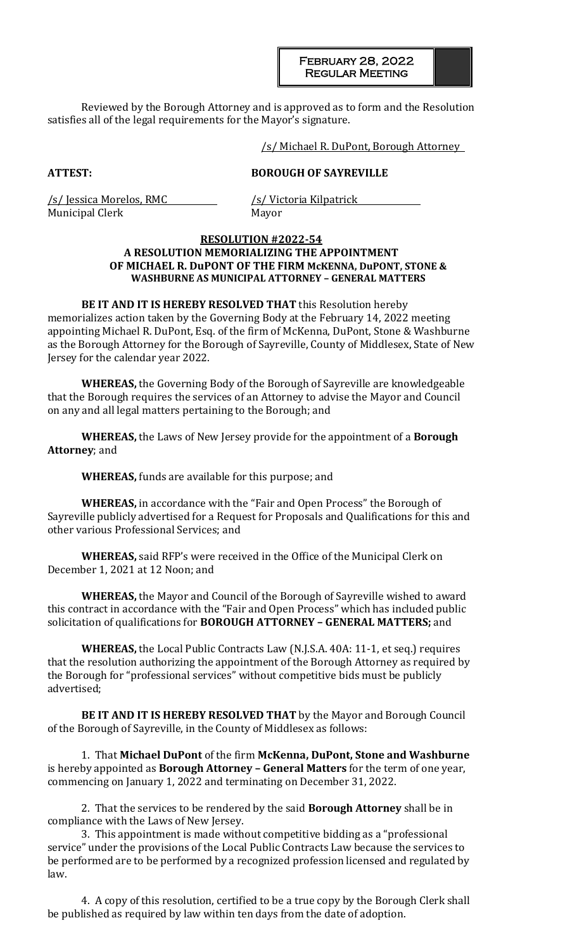February 28, 2022 Regular Meeting

Reviewed by the Borough Attorney and is approved as to form and the Resolution satisfies all of the legal requirements for the Mayor's signature.

#### /s/ Michael R. DuPont, Borough Attorney

#### **ATTEST: BOROUGH OF SAYREVILLE**

/s/ Jessica Morelos, RMC /s/ Victoria Kilpatrick Municipal Clerk Mayor

### **RESOLUTION #2022-54 A RESOLUTION MEMORIALIZING THE APPOINTMENT OF MICHAEL R. DuPONT OF THE FIRM McKENNA, DuPONT, STONE & WASHBURNE AS MUNICIPAL ATTORNEY – GENERAL MATTERS**

**BE IT AND IT IS HEREBY RESOLVED THAT** this Resolution hereby memorializes action taken by the Governing Body at the February 14, 2022 meeting appointing Michael R. DuPont, Esq. of the firm of McKenna, DuPont, Stone & Washburne as the Borough Attorney for the Borough of Sayreville, County of Middlesex, State of New Jersey for the calendar year 2022.

**WHEREAS,** the Governing Body of the Borough of Sayreville are knowledgeable that the Borough requires the services of an Attorney to advise the Mayor and Council on any and all legal matters pertaining to the Borough; and

**WHEREAS,** the Laws of New Jersey provide for the appointment of a **Borough Attorney**; and

**WHEREAS,** funds are available for this purpose; and

**WHEREAS,** in accordance with the "Fair and Open Process" the Borough of Sayreville publicly advertised for a Request for Proposals and Qualifications for this and other various Professional Services; and

**WHEREAS,** said RFP's were received in the Office of the Municipal Clerk on December 1, 2021 at 12 Noon; and

**WHEREAS,** the Mayor and Council of the Borough of Sayreville wished to award this contract in accordance with the "Fair and Open Process" which has included public solicitation of qualifications for **BOROUGH ATTORNEY – GENERAL MATTERS;** and

**WHEREAS,** the Local Public Contracts Law (N.J.S.A. 40A: 11-1, et seq.) requires that the resolution authorizing the appointment of the Borough Attorney as required by the Borough for "professional services" without competitive bids must be publicly advertised;

**BE IT AND IT IS HEREBY RESOLVED THAT** by the Mayor and Borough Council of the Borough of Sayreville, in the County of Middlesex as follows:

1. That **Michael DuPont** of the firm **McKenna, DuPont, Stone and Washburne** is hereby appointed as **Borough Attorney – General Matters** for the term of one year, commencing on January 1, 2022 and terminating on December 31, 2022.

2. That the services to be rendered by the said **Borough Attorney** shall be in compliance with the Laws of New Jersey.

3. This appointment is made without competitive bidding as a "professional service" under the provisions of the Local Public Contracts Law because the services to be performed are to be performed by a recognized profession licensed and regulated by law.

4. A copy of this resolution, certified to be a true copy by the Borough Clerk shall be published as required by law within ten days from the date of adoption.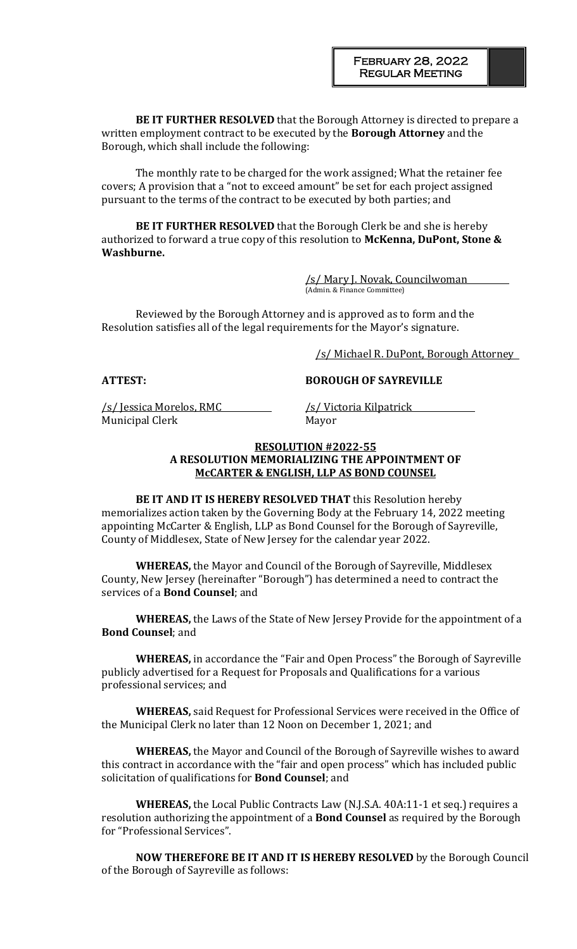**BE IT FURTHER RESOLVED** that the Borough Attorney is directed to prepare a written employment contract to be executed by the **Borough Attorney** and the Borough, which shall include the following:

The monthly rate to be charged for the work assigned; What the retainer fee covers; A provision that a "not to exceed amount" be set for each project assigned pursuant to the terms of the contract to be executed by both parties; and

**BE IT FURTHER RESOLVED** that the Borough Clerk be and she is hereby authorized to forward a true copy of this resolution to **McKenna, DuPont, Stone & Washburne.**

> /s/ Mary J. Novak, Councilwoman (Admin. & Finance Committee)

Reviewed by the Borough Attorney and is approved as to form and the Resolution satisfies all of the legal requirements for the Mayor's signature.

/s/ Michael R. DuPont, Borough Attorney

#### **ATTEST: BOROUGH OF SAYREVILLE**

<u>/s/ Jessica Morelos, RMC /s/ Victoria Kilpatrick</u> Municipal Clerk Mayor

### **RESOLUTION #2022-55 A RESOLUTION MEMORIALIZING THE APPOINTMENT OF McCARTER & ENGLISH, LLP AS BOND COUNSEL**

**BE IT AND IT IS HEREBY RESOLVED THAT** this Resolution hereby memorializes action taken by the Governing Body at the February 14, 2022 meeting appointing McCarter & English, LLP as Bond Counsel for the Borough of Sayreville, County of Middlesex, State of New Jersey for the calendar year 2022.

**WHEREAS,** the Mayor and Council of the Borough of Sayreville, Middlesex County, New Jersey (hereinafter "Borough") has determined a need to contract the services of a **Bond Counsel**; and

**WHEREAS,** the Laws of the State of New Jersey Provide for the appointment of a **Bond Counsel**; and

**WHEREAS,** in accordance the "Fair and Open Process" the Borough of Sayreville publicly advertised for a Request for Proposals and Qualifications for a various professional services; and

**WHEREAS,** said Request for Professional Services were received in the Office of the Municipal Clerk no later than 12 Noon on December 1, 2021; and

**WHEREAS,** the Mayor and Council of the Borough of Sayreville wishes to award this contract in accordance with the "fair and open process" which has included public solicitation of qualifications for **Bond Counsel**; and

**WHEREAS,** the Local Public Contracts Law (N.J.S.A. 40A:11-1 et seq.) requires a resolution authorizing the appointment of a **Bond Counsel** as required by the Borough for "Professional Services".

**NOW THEREFORE BE IT AND IT IS HEREBY RESOLVED** by the Borough Council of the Borough of Sayreville as follows: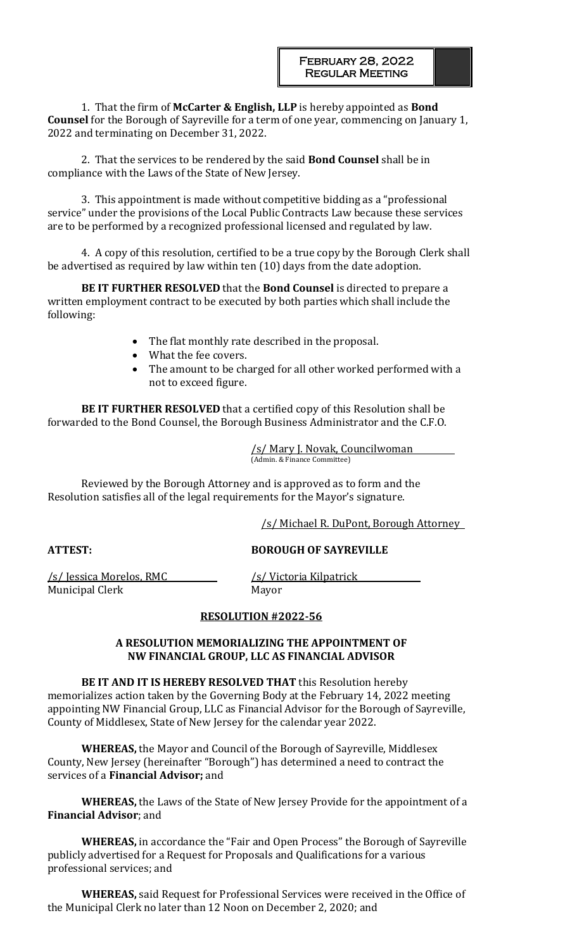1. That the firm of **McCarter & English, LLP** is hereby appointed as **Bond Counsel** for the Borough of Sayreville for a term of one year, commencing on January 1, 2022 and terminating on December 31, 2022.

2. That the services to be rendered by the said **Bond Counsel** shall be in compliance with the Laws of the State of New Jersey.

3. This appointment is made without competitive bidding as a "professional service" under the provisions of the Local Public Contracts Law because these services are to be performed by a recognized professional licensed and regulated by law.

4. A copy of this resolution, certified to be a true copy by the Borough Clerk shall be advertised as required by law within ten (10) days from the date adoption.

**BE IT FURTHER RESOLVED** that the **Bond Counsel** is directed to prepare a written employment contract to be executed by both parties which shall include the following:

- The flat monthly rate described in the proposal.
- What the fee covers.
- The amount to be charged for all other worked performed with a not to exceed figure.

**BE IT FURTHER RESOLVED** that a certified copy of this Resolution shall be forwarded to the Bond Counsel, the Borough Business Administrator and the C.F.O.

> /s/ Mary J. Novak, Councilwoman (Admin. & Finance Committee)

Reviewed by the Borough Attorney and is approved as to form and the Resolution satisfies all of the legal requirements for the Mayor's signature.

/s/ Michael R. DuPont, Borough Attorney

## **ATTEST: BOROUGH OF SAYREVILLE**

/s/ Jessica Morelos, RMC /s/ Victoria Kilpatrick Municipal Clerk Mayor

## **RESOLUTION #2022-56**

## **A RESOLUTION MEMORIALIZING THE APPOINTMENT OF NW FINANCIAL GROUP, LLC AS FINANCIAL ADVISOR**

**BE IT AND IT IS HEREBY RESOLVED THAT** this Resolution hereby memorializes action taken by the Governing Body at the February 14, 2022 meeting appointing NW Financial Group, LLC as Financial Advisor for the Borough of Sayreville, County of Middlesex, State of New Jersey for the calendar year 2022.

**WHEREAS,** the Mayor and Council of the Borough of Sayreville, Middlesex County, New Jersey (hereinafter "Borough") has determined a need to contract the services of a **Financial Advisor;** and

**WHEREAS,** the Laws of the State of New Jersey Provide for the appointment of a **Financial Advisor**; and

**WHEREAS,** in accordance the "Fair and Open Process" the Borough of Sayreville publicly advertised for a Request for Proposals and Qualifications for a various professional services; and

**WHEREAS,** said Request for Professional Services were received in the Office of the Municipal Clerk no later than 12 Noon on December 2, 2020; and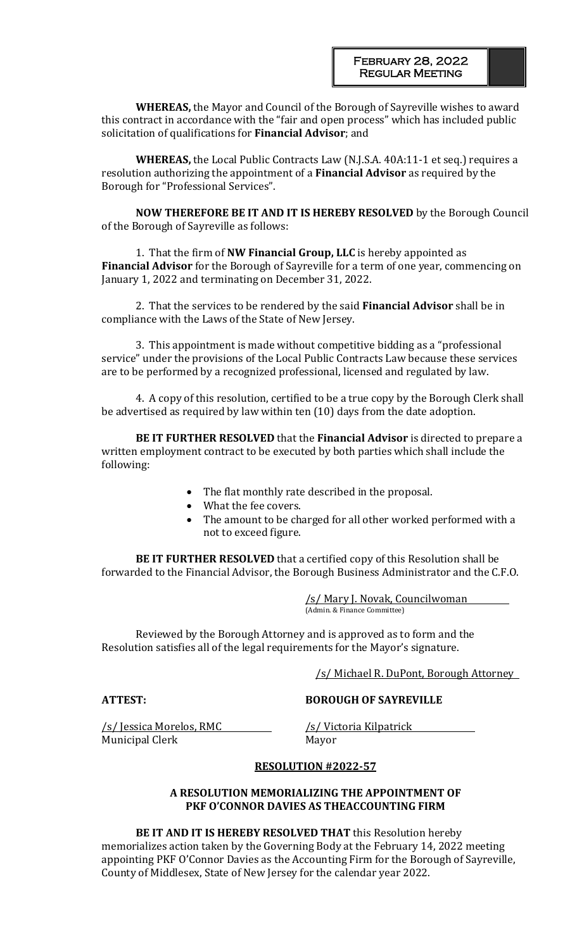**WHEREAS,** the Mayor and Council of the Borough of Sayreville wishes to award this contract in accordance with the "fair and open process" which has included public solicitation of qualifications for **Financial Advisor**; and

**WHEREAS,** the Local Public Contracts Law (N.J.S.A. 40A:11-1 et seq.) requires a resolution authorizing the appointment of a **Financial Advisor** as required by the Borough for "Professional Services".

**NOW THEREFORE BE IT AND IT IS HEREBY RESOLVED** by the Borough Council of the Borough of Sayreville as follows:

1. That the firm of **NW Financial Group, LLC** is hereby appointed as **Financial Advisor** for the Borough of Sayreville for a term of one year, commencing on January 1, 2022 and terminating on December 31, 2022.

2. That the services to be rendered by the said **Financial Advisor** shall be in compliance with the Laws of the State of New Jersey.

3. This appointment is made without competitive bidding as a "professional service" under the provisions of the Local Public Contracts Law because these services are to be performed by a recognized professional, licensed and regulated by law.

4. A copy of this resolution, certified to be a true copy by the Borough Clerk shall be advertised as required by law within ten (10) days from the date adoption.

**BE IT FURTHER RESOLVED** that the **Financial Advisor** is directed to prepare a written employment contract to be executed by both parties which shall include the following:

- The flat monthly rate described in the proposal.
- What the fee covers.
- The amount to be charged for all other worked performed with a not to exceed figure.

**BE IT FURTHER RESOLVED** that a certified copy of this Resolution shall be forwarded to the Financial Advisor, the Borough Business Administrator and the C.F.O.

> /s/ Mary J. Novak, Councilwoman (Admin. & Finance Committee)

Reviewed by the Borough Attorney and is approved as to form and the Resolution satisfies all of the legal requirements for the Mayor's signature.

/s/ Michael R. DuPont, Borough Attorney

**ATTEST: BOROUGH OF SAYREVILLE**

/s/ Jessica Morelos, RMC /s/ Victoria Kilpatrick Municipal Clerk Mayor

## **RESOLUTION #2022-57**

## **A RESOLUTION MEMORIALIZING THE APPOINTMENT OF PKF O'CONNOR DAVIES AS THEACCOUNTING FIRM**

**BE IT AND IT IS HEREBY RESOLVED THAT** this Resolution hereby memorializes action taken by the Governing Body at the February 14, 2022 meeting appointing PKF O'Connor Davies as the Accounting Firm for the Borough of Sayreville, County of Middlesex, State of New Jersey for the calendar year 2022.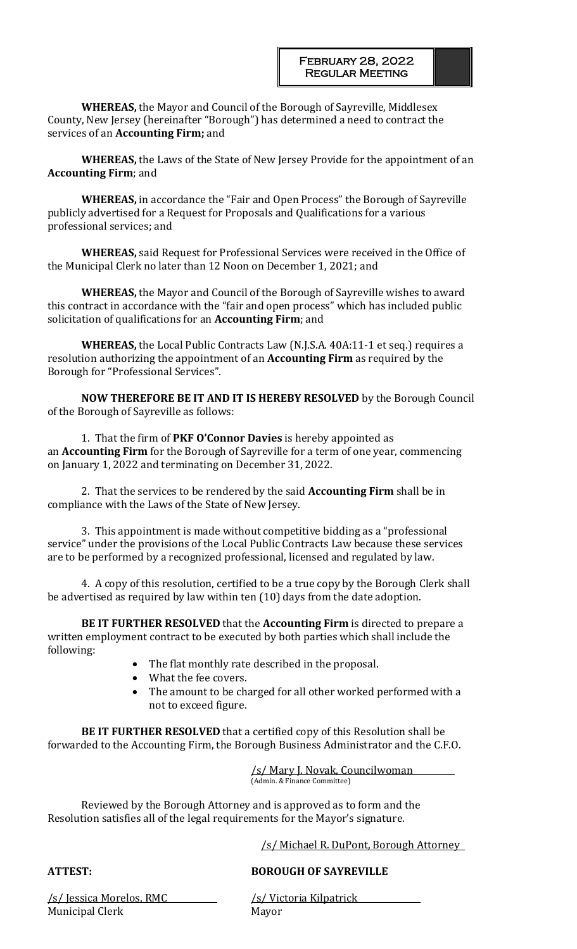**WHEREAS,** the Mayor and Council of the Borough of Sayreville, Middlesex County, New Jersey (hereinafter "Borough") has determined a need to contract the services of an **Accounting Firm;** and

**WHEREAS,** the Laws of the State of New Jersey Provide for the appointment of an **Accounting Firm**; and

**WHEREAS,** in accordance the "Fair and Open Process" the Borough of Sayreville publicly advertised for a Request for Proposals and Qualifications for a various professional services; and

**WHEREAS,** said Request for Professional Services were received in the Office of the Municipal Clerk no later than 12 Noon on December 1, 2021; and

**WHEREAS,** the Mayor and Council of the Borough of Sayreville wishes to award this contract in accordance with the "fair and open process" which has included public solicitation of qualifications for an **Accounting Firm**; and

**WHEREAS,** the Local Public Contracts Law (N.J.S.A. 40A:11-1 et seq.) requires a resolution authorizing the appointment of an **Accounting Firm** as required by the Borough for "Professional Services".

**NOW THEREFORE BE IT AND IT IS HEREBY RESOLVED** by the Borough Council of the Borough of Sayreville as follows:

1. That the firm of **PKF O'Connor Davies** is hereby appointed as an **Accounting Firm** for the Borough of Sayreville for a term of one year, commencing on January 1, 2022 and terminating on December 31, 2022.

2. That the services to be rendered by the said **Accounting Firm** shall be in compliance with the Laws of the State of New Jersey.

3. This appointment is made without competitive bidding as a "professional service" under the provisions of the Local Public Contracts Law because these services are to be performed by a recognized professional, licensed and regulated by law.

4. A copy of this resolution, certified to be a true copy by the Borough Clerk shall be advertised as required by law within ten (10) days from the date adoption.

**BE IT FURTHER RESOLVED** that the **Accounting Firm** is directed to prepare a written employment contract to be executed by both parties which shall include the following:

- The flat monthly rate described in the proposal.
- What the fee covers.
- The amount to be charged for all other worked performed with a not to exceed figure.

**BE IT FURTHER RESOLVED** that a certified copy of this Resolution shall be forwarded to the Accounting Firm, the Borough Business Administrator and the C.F.O.

> /s/ Mary J. Novak, Councilwoman (Admin. & Finance Committee)

Reviewed by the Borough Attorney and is approved as to form and the Resolution satisfies all of the legal requirements for the Mayor's signature.

/s/ Michael R. DuPont, Borough Attorney

# **ATTEST: BOROUGH OF SAYREVILLE**

/s/ Jessica Morelos, RMC /s/ Victoria Kilpatrick Municipal Clerk Mayor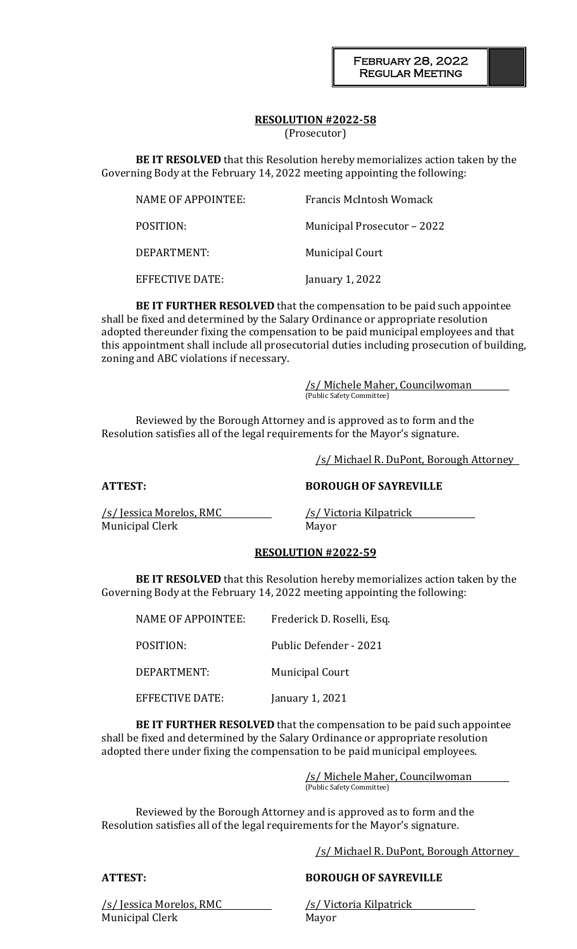# **RESOLUTION #2022-58**

(Prosecutor)

**BE IT RESOLVED** that this Resolution hereby memorializes action taken by the Governing Body at the February 14, 2022 meeting appointing the following:

| NAME OF APPOINTEE: | Francis McIntosh Womack            |
|--------------------|------------------------------------|
| POSITION:          | <b>Municipal Prosecutor - 2022</b> |
| DEPARTMENT:        | <b>Municipal Court</b>             |
| EFFECTIVE DATE:    | January 1, 2022                    |

**BE IT FURTHER RESOLVED** that the compensation to be paid such appointee shall be fixed and determined by the Salary Ordinance or appropriate resolution adopted thereunder fixing the compensation to be paid municipal employees and that this appointment shall include all prosecutorial duties including prosecution of building, zoning and ABC violations if necessary.

> /s/ Michele Maher, Councilwoman (Public Safety Committee)

Reviewed by the Borough Attorney and is approved as to form and the Resolution satisfies all of the legal requirements for the Mayor's signature.

/s/ Michael R. DuPont, Borough Attorney

**ATTEST: BOROUGH OF SAYREVILLE**

/s/ Jessica Morelos, RMC /s/ Victoria Kilpatrick Municipal Clerk Mayor

### **RESOLUTION #2022-59**

**BE IT RESOLVED** that this Resolution hereby memorializes action taken by the Governing Body at the February 14, 2022 meeting appointing the following:

| NAME OF APPOINTEE:     | Frederick D. Roselli, Esq. |
|------------------------|----------------------------|
| POSITION:              | Public Defender - 2021     |
| DEPARTMENT:            | <b>Municipal Court</b>     |
| <b>EFFECTIVE DATE:</b> | January 1, 2021            |

**BE IT FURTHER RESOLVED** that the compensation to be paid such appointee shall be fixed and determined by the Salary Ordinance or appropriate resolution adopted there under fixing the compensation to be paid municipal employees.

> /s/ Michele Maher, Councilwoman (Public Safety Committee)

Reviewed by the Borough Attorney and is approved as to form and the Resolution satisfies all of the legal requirements for the Mayor's signature.

/s/ Michael R. DuPont, Borough Attorney

## **ATTEST: BOROUGH OF SAYREVILLE**

/s/ Jessica Morelos, RMC /s/ Victoria Kilpatrick Municipal Clerk Mayor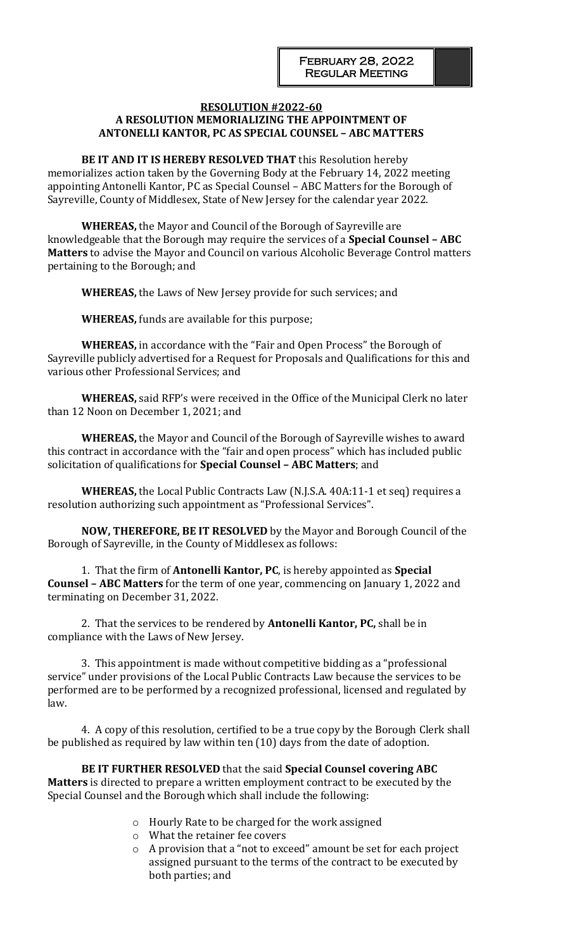#### **RESOLUTION #2022-60 A RESOLUTION MEMORIALIZING THE APPOINTMENT OF ANTONELLI KANTOR, PC AS SPECIAL COUNSEL – ABC MATTERS**

**BE IT AND IT IS HEREBY RESOLVED THAT** this Resolution hereby memorializes action taken by the Governing Body at the February 14, 2022 meeting appointing Antonelli Kantor, PC as Special Counsel – ABC Matters for the Borough of Sayreville, County of Middlesex, State of New Jersey for the calendar year 2022.

**WHEREAS,** the Mayor and Council of the Borough of Sayreville are knowledgeable that the Borough may require the services of a **Special Counsel – ABC Matters** to advise the Mayor and Council on various Alcoholic Beverage Control matters pertaining to the Borough; and

**WHEREAS,** the Laws of New Jersey provide for such services; and

**WHEREAS,** funds are available for this purpose;

**WHEREAS,** in accordance with the "Fair and Open Process" the Borough of Sayreville publicly advertised for a Request for Proposals and Qualifications for this and various other Professional Services; and

**WHEREAS,** said RFP's were received in the Office of the Municipal Clerk no later than 12 Noon on December 1, 2021; and

**WHEREAS,** the Mayor and Council of the Borough of Sayreville wishes to award this contract in accordance with the "fair and open process" which has included public solicitation of qualifications for **Special Counsel – ABC Matters**; and

**WHEREAS,** the Local Public Contracts Law (N.J.S.A. 40A:11-1 et seq) requires a resolution authorizing such appointment as "Professional Services".

**NOW, THEREFORE, BE IT RESOLVED** by the Mayor and Borough Council of the Borough of Sayreville, in the County of Middlesex as follows:

1. That the firm of **Antonelli Kantor, PC**, is hereby appointed as **Special Counsel – ABC Matters** for the term of one year, commencing on January 1, 2022 and terminating on December 31, 2022.

2. That the services to be rendered by **Antonelli Kantor, PC,** shall be in compliance with the Laws of New Jersey.

3. This appointment is made without competitive bidding as a "professional service" under provisions of the Local Public Contracts Law because the services to be performed are to be performed by a recognized professional, licensed and regulated by law.

4. A copy of this resolution, certified to be a true copy by the Borough Clerk shall be published as required by law within ten (10) days from the date of adoption.

**BE IT FURTHER RESOLVED** that the said **Special Counsel covering ABC Matters** is directed to prepare a written employment contract to be executed by the Special Counsel and the Borough which shall include the following:

- o Hourly Rate to be charged for the work assigned
- o What the retainer fee covers
- o A provision that a "not to exceed" amount be set for each project assigned pursuant to the terms of the contract to be executed by both parties; and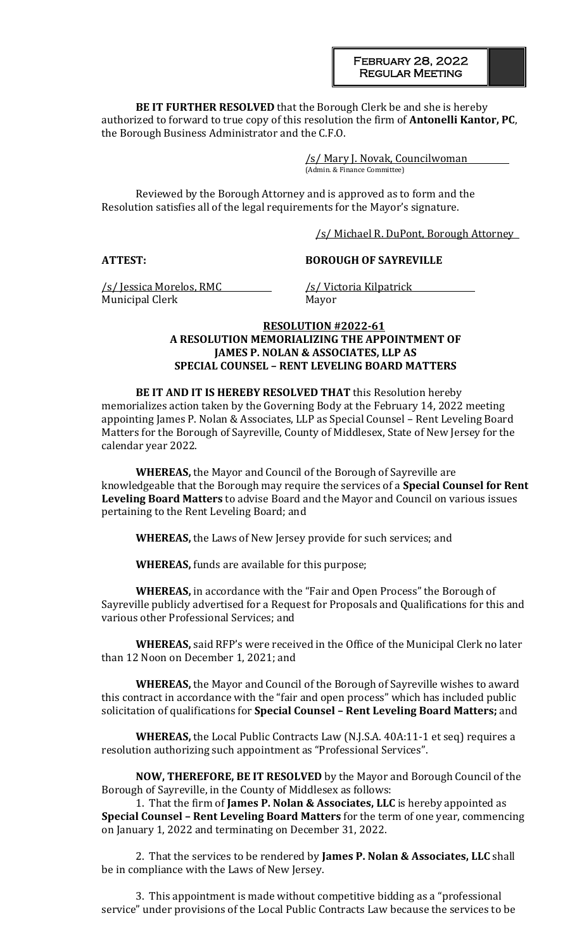#### February 28, 2022 Regular Meeting

**BE IT FURTHER RESOLVED** that the Borough Clerk be and she is hereby authorized to forward to true copy of this resolution the firm of **Antonelli Kantor, PC**, the Borough Business Administrator and the C.F.O.

> /s/ Mary J. Novak, Councilwoman (Admin. & Finance Committee)

Reviewed by the Borough Attorney and is approved as to form and the Resolution satisfies all of the legal requirements for the Mayor's signature.

/s/ Michael R. DuPont, Borough Attorney

**ATTEST: BOROUGH OF SAYREVILLE**

/s/ Jessica Morelos, RMC /s/ Victoria Kilpatrick Municipal Clerk Mayor

## **RESOLUTION #2022-61 A RESOLUTION MEMORIALIZING THE APPOINTMENT OF JAMES P. NOLAN & ASSOCIATES, LLP AS SPECIAL COUNSEL – RENT LEVELING BOARD MATTERS**

**BE IT AND IT IS HEREBY RESOLVED THAT** this Resolution hereby memorializes action taken by the Governing Body at the February 14, 2022 meeting appointing James P. Nolan & Associates, LLP as Special Counsel – Rent Leveling Board Matters for the Borough of Sayreville, County of Middlesex, State of New Jersey for the calendar year 2022.

**WHEREAS,** the Mayor and Council of the Borough of Sayreville are knowledgeable that the Borough may require the services of a **Special Counsel for Rent Leveling Board Matters** to advise Board and the Mayor and Council on various issues pertaining to the Rent Leveling Board; and

**WHEREAS,** the Laws of New Jersey provide for such services; and

**WHEREAS,** funds are available for this purpose;

**WHEREAS,** in accordance with the "Fair and Open Process" the Borough of Sayreville publicly advertised for a Request for Proposals and Qualifications for this and various other Professional Services; and

**WHEREAS,** said RFP's were received in the Office of the Municipal Clerk no later than 12 Noon on December 1, 2021; and

**WHEREAS,** the Mayor and Council of the Borough of Sayreville wishes to award this contract in accordance with the "fair and open process" which has included public solicitation of qualifications for **Special Counsel – Rent Leveling Board Matters;** and

**WHEREAS,** the Local Public Contracts Law (N.J.S.A. 40A:11-1 et seq) requires a resolution authorizing such appointment as "Professional Services".

**NOW, THEREFORE, BE IT RESOLVED** by the Mayor and Borough Council of the Borough of Sayreville, in the County of Middlesex as follows:

1. That the firm of **James P. Nolan & Associates, LLC** is hereby appointed as **Special Counsel – Rent Leveling Board Matters** for the term of one year, commencing on January 1, 2022 and terminating on December 31, 2022.

2. That the services to be rendered by **James P. Nolan & Associates, LLC** shall be in compliance with the Laws of New Jersey.

3. This appointment is made without competitive bidding as a "professional service" under provisions of the Local Public Contracts Law because the services to be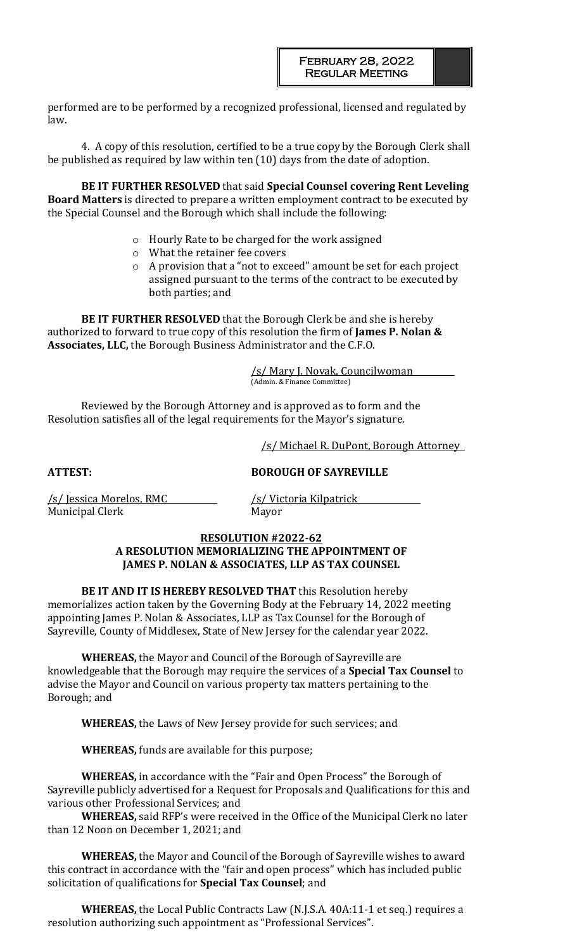performed are to be performed by a recognized professional, licensed and regulated by law.

4. A copy of this resolution, certified to be a true copy by the Borough Clerk shall be published as required by law within ten (10) days from the date of adoption.

**BE IT FURTHER RESOLVED** that said **Special Counsel covering Rent Leveling Board Matters** is directed to prepare a written employment contract to be executed by the Special Counsel and the Borough which shall include the following:

- o Hourly Rate to be charged for the work assigned
- o What the retainer fee covers
- o A provision that a "not to exceed" amount be set for each project assigned pursuant to the terms of the contract to be executed by both parties; and

**BE IT FURTHER RESOLVED** that the Borough Clerk be and she is hereby authorized to forward to true copy of this resolution the firm of **James P. Nolan & Associates, LLC,** the Borough Business Administrator and the C.F.O.

> /s/ Mary J. Novak, Councilwoman (Admin. & Finance Committee)

Reviewed by the Borough Attorney and is approved as to form and the Resolution satisfies all of the legal requirements for the Mayor's signature.

/s/ Michael R. DuPont, Borough Attorney

**ATTEST: BOROUGH OF SAYREVILLE**

/s/ Jessica Morelos, RMC /s/ Victoria Kilpatrick Municipal Clerk Mayor

## **RESOLUTION #2022-62 A RESOLUTION MEMORIALIZING THE APPOINTMENT OF JAMES P. NOLAN & ASSOCIATES, LLP AS TAX COUNSEL**

**BE IT AND IT IS HEREBY RESOLVED THAT** this Resolution hereby memorializes action taken by the Governing Body at the February 14, 2022 meeting appointing James P. Nolan & Associates, LLP as Tax Counsel for the Borough of Sayreville, County of Middlesex, State of New Jersey for the calendar year 2022.

**WHEREAS,** the Mayor and Council of the Borough of Sayreville are knowledgeable that the Borough may require the services of a **Special Tax Counsel** to advise the Mayor and Council on various property tax matters pertaining to the Borough; and

**WHEREAS,** the Laws of New Jersey provide for such services; and

**WHEREAS,** funds are available for this purpose;

**WHEREAS,** in accordance with the "Fair and Open Process" the Borough of Sayreville publicly advertised for a Request for Proposals and Qualifications for this and various other Professional Services; and

**WHEREAS,** said RFP's were received in the Office of the Municipal Clerk no later than 12 Noon on December 1, 2021; and

**WHEREAS,** the Mayor and Council of the Borough of Sayreville wishes to award this contract in accordance with the "fair and open process" which has included public solicitation of qualifications for **Special Tax Counsel**; and

**WHEREAS,** the Local Public Contracts Law (N.J.S.A. 40A:11-1 et seq.) requires a resolution authorizing such appointment as "Professional Services".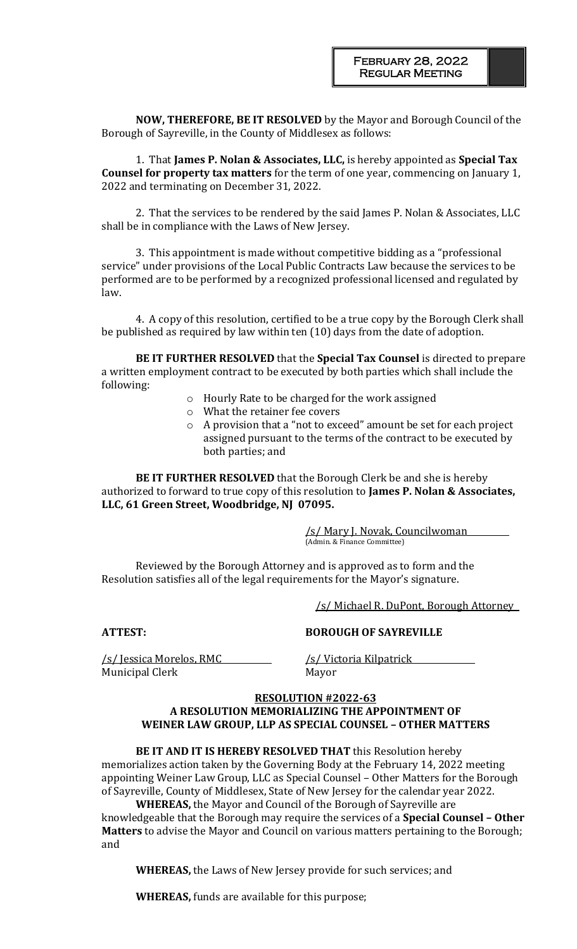**NOW, THEREFORE, BE IT RESOLVED** by the Mayor and Borough Council of the Borough of Sayreville, in the County of Middlesex as follows:

1. That **James P. Nolan & Associates, LLC,** is hereby appointed as **Special Tax Counsel for property tax matters** for the term of one year, commencing on January 1, 2022 and terminating on December 31, 2022.

2. That the services to be rendered by the said James P. Nolan & Associates, LLC shall be in compliance with the Laws of New Jersey.

3. This appointment is made without competitive bidding as a "professional service" under provisions of the Local Public Contracts Law because the services to be performed are to be performed by a recognized professional licensed and regulated by law.

4. A copy of this resolution, certified to be a true copy by the Borough Clerk shall be published as required by law within ten (10) days from the date of adoption.

**BE IT FURTHER RESOLVED** that the **Special Tax Counsel** is directed to prepare a written employment contract to be executed by both parties which shall include the following:

- o Hourly Rate to be charged for the work assigned
- o What the retainer fee covers
- o A provision that a "not to exceed" amount be set for each project assigned pursuant to the terms of the contract to be executed by both parties; and

**BE IT FURTHER RESOLVED** that the Borough Clerk be and she is hereby authorized to forward to true copy of this resolution to **James P. Nolan & Associates, LLC, 61 Green Street, Woodbridge, NJ 07095.**

> /s/ Mary J. Novak, Councilwoman (Admin. & Finance Committee)

Reviewed by the Borough Attorney and is approved as to form and the Resolution satisfies all of the legal requirements for the Mayor's signature.

/s/ Michael R. DuPont, Borough Attorney

**ATTEST: BOROUGH OF SAYREVILLE**

/s/ Jessica Morelos, RMC /s/ Victoria Kilpatrick Municipal Clerk Mayor

### **RESOLUTION #2022-63 A RESOLUTION MEMORIALIZING THE APPOINTMENT OF WEINER LAW GROUP, LLP AS SPECIAL COUNSEL – OTHER MATTERS**

**BE IT AND IT IS HEREBY RESOLVED THAT** this Resolution hereby memorializes action taken by the Governing Body at the February 14, 2022 meeting appointing Weiner Law Group, LLC as Special Counsel – Other Matters for the Borough of Sayreville, County of Middlesex, State of New Jersey for the calendar year 2022.

**WHEREAS,** the Mayor and Council of the Borough of Sayreville are knowledgeable that the Borough may require the services of a **Special Counsel – Other Matters** to advise the Mayor and Council on various matters pertaining to the Borough; and

**WHEREAS,** the Laws of New Jersey provide for such services; and

**WHEREAS,** funds are available for this purpose;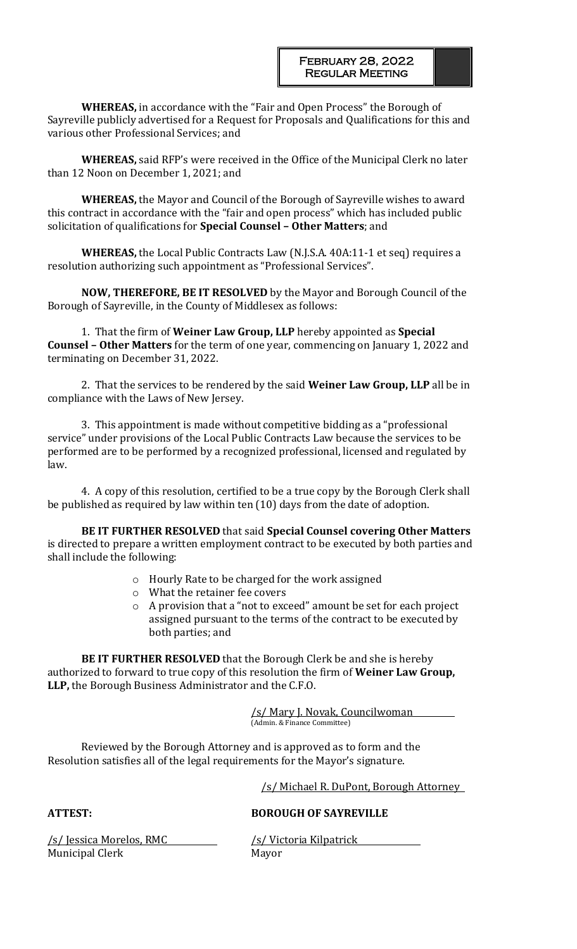**WHEREAS,** in accordance with the "Fair and Open Process" the Borough of Sayreville publicly advertised for a Request for Proposals and Qualifications for this and various other Professional Services; and

**WHEREAS,** said RFP's were received in the Office of the Municipal Clerk no later than 12 Noon on December 1, 2021; and

**WHEREAS,** the Mayor and Council of the Borough of Sayreville wishes to award this contract in accordance with the "fair and open process" which has included public solicitation of qualifications for **Special Counsel – Other Matters**; and

**WHEREAS,** the Local Public Contracts Law (N.J.S.A. 40A:11-1 et seq) requires a resolution authorizing such appointment as "Professional Services".

**NOW, THEREFORE, BE IT RESOLVED** by the Mayor and Borough Council of the Borough of Sayreville, in the County of Middlesex as follows:

1. That the firm of **Weiner Law Group, LLP** hereby appointed as **Special Counsel – Other Matters** for the term of one year, commencing on January 1, 2022 and terminating on December 31, 2022.

2. That the services to be rendered by the said **Weiner Law Group, LLP** all be in compliance with the Laws of New Jersey.

3. This appointment is made without competitive bidding as a "professional service" under provisions of the Local Public Contracts Law because the services to be performed are to be performed by a recognized professional, licensed and regulated by law.

4. A copy of this resolution, certified to be a true copy by the Borough Clerk shall be published as required by law within ten (10) days from the date of adoption.

**BE IT FURTHER RESOLVED** that said **Special Counsel covering Other Matters**  is directed to prepare a written employment contract to be executed by both parties and shall include the following:

- o Hourly Rate to be charged for the work assigned
- o What the retainer fee covers
- o A provision that a "not to exceed" amount be set for each project assigned pursuant to the terms of the contract to be executed by both parties; and

**BE IT FURTHER RESOLVED** that the Borough Clerk be and she is hereby authorized to forward to true copy of this resolution the firm of **Weiner Law Group, LLP,** the Borough Business Administrator and the C.F.O.

> /s/ Mary J. Novak, Councilwoman (Admin. & Finance Committee)

Reviewed by the Borough Attorney and is approved as to form and the Resolution satisfies all of the legal requirements for the Mayor's signature.

/s/ Michael R. DuPont, Borough Attorney

**ATTEST: BOROUGH OF SAYREVILLE**

Municipal Clerk Mayor

/s/ Jessica Morelos, RMC /s/ Victoria Kilpatrick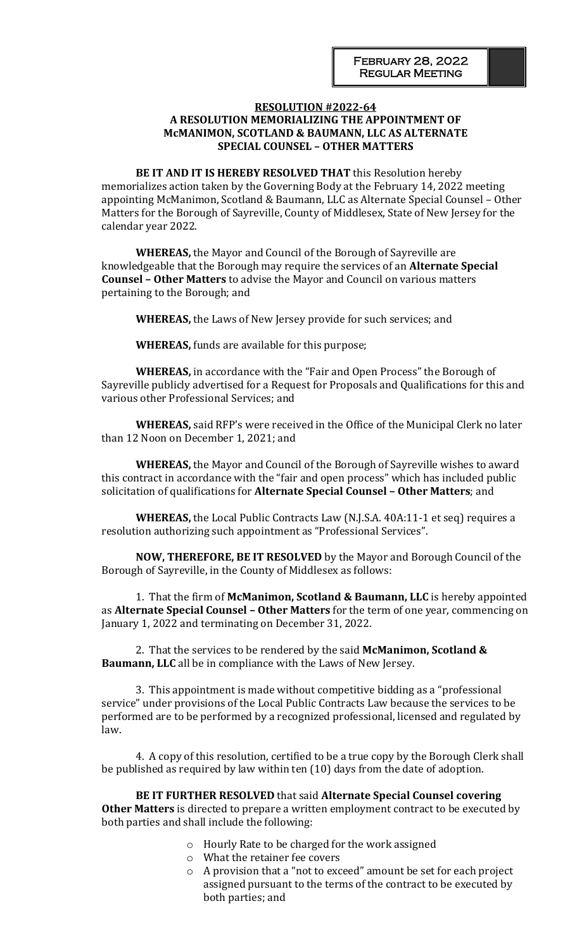### **RESOLUTION #2022-64 A RESOLUTION MEMORIALIZING THE APPOINTMENT OF McMANIMON, SCOTLAND & BAUMANN, LLC AS ALTERNATE SPECIAL COUNSEL – OTHER MATTERS**

**BE IT AND IT IS HEREBY RESOLVED THAT** this Resolution hereby memorializes action taken by the Governing Body at the February 14, 2022 meeting appointing McManimon, Scotland & Baumann, LLC as Alternate Special Counsel – Other Matters for the Borough of Sayreville, County of Middlesex, State of New Jersey for the calendar year 2022.

**WHEREAS,** the Mayor and Council of the Borough of Sayreville are knowledgeable that the Borough may require the services of an **Alternate Special Counsel – Other Matters** to advise the Mayor and Council on various matters pertaining to the Borough; and

**WHEREAS,** the Laws of New Jersey provide for such services; and

**WHEREAS,** funds are available for this purpose;

**WHEREAS,** in accordance with the "Fair and Open Process" the Borough of Sayreville publicly advertised for a Request for Proposals and Qualifications for this and various other Professional Services; and

**WHEREAS,** said RFP's were received in the Office of the Municipal Clerk no later than 12 Noon on December 1, 2021; and

**WHEREAS,** the Mayor and Council of the Borough of Sayreville wishes to award this contract in accordance with the "fair and open process" which has included public solicitation of qualifications for **Alternate Special Counsel – Other Matters**; and

**WHEREAS,** the Local Public Contracts Law (N.J.S.A. 40A:11-1 et seq) requires a resolution authorizing such appointment as "Professional Services".

**NOW, THEREFORE, BE IT RESOLVED** by the Mayor and Borough Council of the Borough of Sayreville, in the County of Middlesex as follows:

1. That the firm of **McManimon, Scotland & Baumann, LLC** is hereby appointed as **Alternate Special Counsel – Other Matters** for the term of one year, commencing on January 1, 2022 and terminating on December 31, 2022.

2. That the services to be rendered by the said **McManimon, Scotland & Baumann, LLC** all be in compliance with the Laws of New Jersey.

3. This appointment is made without competitive bidding as a "professional service" under provisions of the Local Public Contracts Law because the services to be performed are to be performed by a recognized professional, licensed and regulated by law.

4. A copy of this resolution, certified to be a true copy by the Borough Clerk shall be published as required by law within ten (10) days from the date of adoption.

**BE IT FURTHER RESOLVED** that said **Alternate Special Counsel covering Other Matters** is directed to prepare a written employment contract to be executed by both parties and shall include the following:

- o Hourly Rate to be charged for the work assigned
- o What the retainer fee covers
- o A provision that a "not to exceed" amount be set for each project assigned pursuant to the terms of the contract to be executed by both parties; and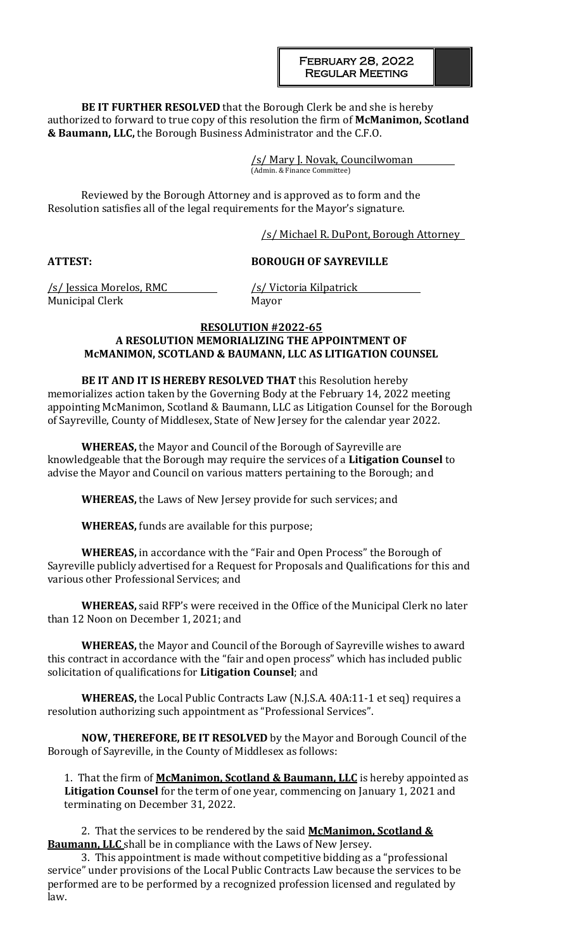**BE IT FURTHER RESOLVED** that the Borough Clerk be and she is hereby authorized to forward to true copy of this resolution the firm of **McManimon, Scotland & Baumann, LLC,** the Borough Business Administrator and the C.F.O.

> /s/ Mary J. Novak, Councilwoman (Admin. & Finance Committee)

Reviewed by the Borough Attorney and is approved as to form and the Resolution satisfies all of the legal requirements for the Mayor's signature.

/s/ Michael R. DuPont, Borough Attorney

**ATTEST: BOROUGH OF SAYREVILLE**

/s/ Jessica Morelos, RMC /s/ Victoria Kilpatrick Municipal Clerk Mayor

## **RESOLUTION #2022-65 A RESOLUTION MEMORIALIZING THE APPOINTMENT OF McMANIMON, SCOTLAND & BAUMANN, LLC AS LITIGATION COUNSEL**

**BE IT AND IT IS HEREBY RESOLVED THAT** this Resolution hereby memorializes action taken by the Governing Body at the February 14, 2022 meeting appointing McManimon, Scotland & Baumann, LLC as Litigation Counsel for the Borough of Sayreville, County of Middlesex, State of New Jersey for the calendar year 2022.

**WHEREAS,** the Mayor and Council of the Borough of Sayreville are knowledgeable that the Borough may require the services of a **Litigation Counsel** to advise the Mayor and Council on various matters pertaining to the Borough; and

**WHEREAS,** the Laws of New Jersey provide for such services; and

**WHEREAS,** funds are available for this purpose;

**WHEREAS,** in accordance with the "Fair and Open Process" the Borough of Sayreville publicly advertised for a Request for Proposals and Qualifications for this and various other Professional Services; and

**WHEREAS,** said RFP's were received in the Office of the Municipal Clerk no later than 12 Noon on December 1, 2021; and

**WHEREAS,** the Mayor and Council of the Borough of Sayreville wishes to award this contract in accordance with the "fair and open process" which has included public solicitation of qualifications for **Litigation Counsel**; and

**WHEREAS,** the Local Public Contracts Law (N.J.S.A. 40A:11-1 et seq) requires a resolution authorizing such appointment as "Professional Services".

**NOW, THEREFORE, BE IT RESOLVED** by the Mayor and Borough Council of the Borough of Sayreville, in the County of Middlesex as follows:

1. That the firm of **McManimon, Scotland & Baumann, LLC** is hereby appointed as **Litigation Counsel** for the term of one year, commencing on January 1, 2021 and terminating on December 31, 2022.

2. That the services to be rendered by the said **McManimon, Scotland & Baumann, LLC** shall be in compliance with the Laws of New Jersey.

3. This appointment is made without competitive bidding as a "professional service" under provisions of the Local Public Contracts Law because the services to be performed are to be performed by a recognized profession licensed and regulated by law.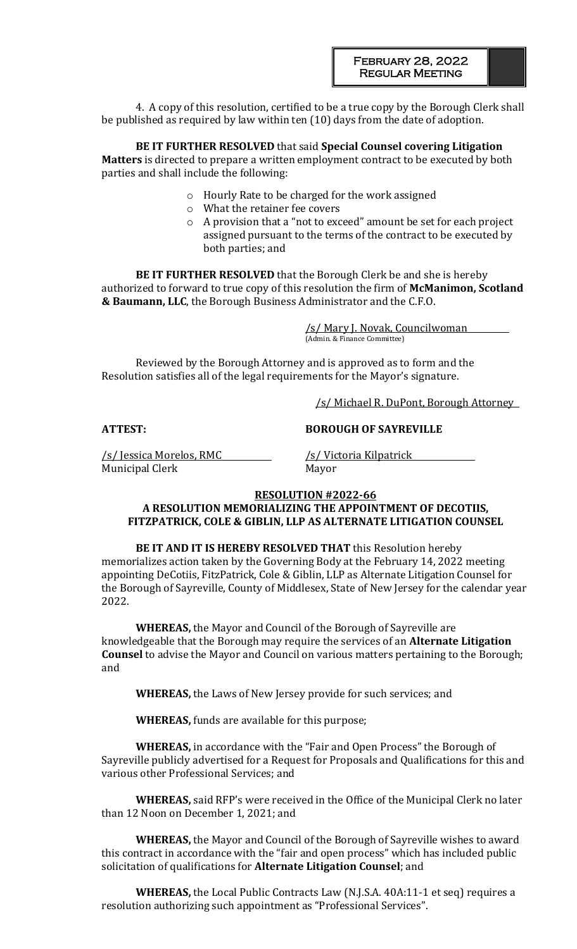4. A copy of this resolution, certified to be a true copy by the Borough Clerk shall be published as required by law within ten (10) days from the date of adoption.

**BE IT FURTHER RESOLVED** that said **Special Counsel covering Litigation Matters** is directed to prepare a written employment contract to be executed by both parties and shall include the following:

- o Hourly Rate to be charged for the work assigned
- o What the retainer fee covers
- o A provision that a "not to exceed" amount be set for each project assigned pursuant to the terms of the contract to be executed by both parties; and

**BE IT FURTHER RESOLVED** that the Borough Clerk be and she is hereby authorized to forward to true copy of this resolution the firm of **McManimon, Scotland & Baumann, LLC**, the Borough Business Administrator and the C.F.O.

> /s/ Mary J. Novak, Councilwoman (Admin. & Finance Committee)

Reviewed by the Borough Attorney and is approved as to form and the Resolution satisfies all of the legal requirements for the Mayor's signature.

/s/ Michael R. DuPont, Borough Attorney

/s/ Jessica Morelos, RMC /s/ Victoria Kilpatrick Municipal Clerk Mayor

#### **ATTEST: BOROUGH OF SAYREVILLE**

# **RESOLUTION #2022-66**

## **A RESOLUTION MEMORIALIZING THE APPOINTMENT OF DECOTIIS, FITZPATRICK, COLE & GIBLIN, LLP AS ALTERNATE LITIGATION COUNSEL**

**BE IT AND IT IS HEREBY RESOLVED THAT** this Resolution hereby memorializes action taken by the Governing Body at the February 14, 2022 meeting appointing DeCotiis, FitzPatrick, Cole & Giblin, LLP as Alternate Litigation Counsel for the Borough of Sayreville, County of Middlesex, State of New Jersey for the calendar year 2022.

**WHEREAS,** the Mayor and Council of the Borough of Sayreville are knowledgeable that the Borough may require the services of an **Alternate Litigation Counsel** to advise the Mayor and Council on various matters pertaining to the Borough; and

**WHEREAS,** the Laws of New Jersey provide for such services; and

**WHEREAS,** funds are available for this purpose;

**WHEREAS,** in accordance with the "Fair and Open Process" the Borough of Sayreville publicly advertised for a Request for Proposals and Qualifications for this and various other Professional Services; and

**WHEREAS,** said RFP's were received in the Office of the Municipal Clerk no later than 12 Noon on December 1, 2021; and

**WHEREAS,** the Mayor and Council of the Borough of Sayreville wishes to award this contract in accordance with the "fair and open process" which has included public solicitation of qualifications for **Alternate Litigation Counsel**; and

**WHEREAS,** the Local Public Contracts Law (N.J.S.A. 40A:11-1 et seq) requires a resolution authorizing such appointment as "Professional Services".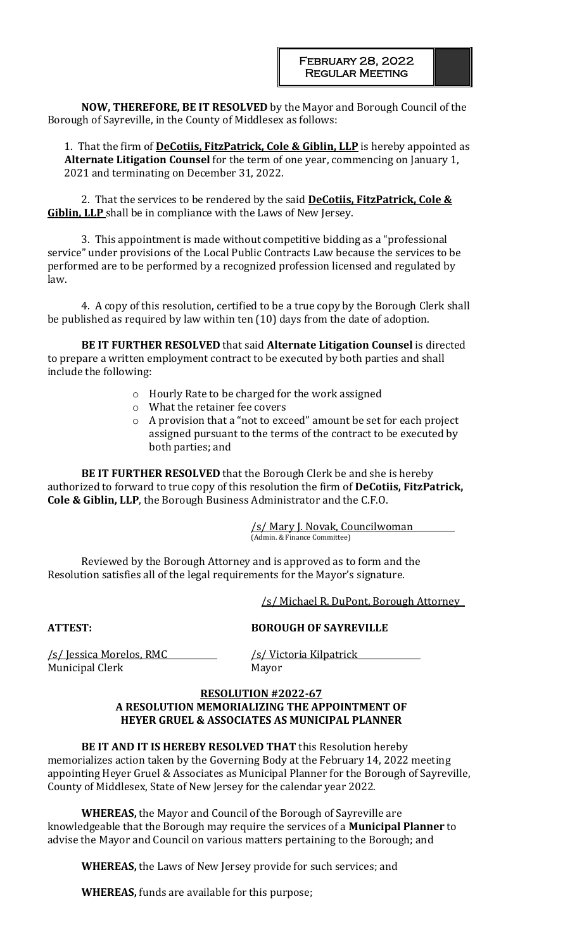**NOW, THEREFORE, BE IT RESOLVED** by the Mayor and Borough Council of the Borough of Sayreville, in the County of Middlesex as follows:

1. That the firm of **DeCotiis, FitzPatrick, Cole & Giblin, LLP** is hereby appointed as **Alternate Litigation Counsel** for the term of one year, commencing on January 1, 2021 and terminating on December 31, 2022.

2. That the services to be rendered by the said **DeCotiis, FitzPatrick, Cole & Giblin, LLP** shall be in compliance with the Laws of New Jersey.

3. This appointment is made without competitive bidding as a "professional service" under provisions of the Local Public Contracts Law because the services to be performed are to be performed by a recognized profession licensed and regulated by law.

4. A copy of this resolution, certified to be a true copy by the Borough Clerk shall be published as required by law within ten (10) days from the date of adoption.

**BE IT FURTHER RESOLVED** that said **Alternate Litigation Counsel** is directed to prepare a written employment contract to be executed by both parties and shall include the following:

- o Hourly Rate to be charged for the work assigned
- o What the retainer fee covers
- o A provision that a "not to exceed" amount be set for each project assigned pursuant to the terms of the contract to be executed by both parties; and

**BE IT FURTHER RESOLVED** that the Borough Clerk be and she is hereby authorized to forward to true copy of this resolution the firm of **DeCotiis, FitzPatrick, Cole & Giblin, LLP**, the Borough Business Administrator and the C.F.O.

> /s/ Mary J. Novak, Councilwoman (Admin. & Finance Committee)

Reviewed by the Borough Attorney and is approved as to form and the Resolution satisfies all of the legal requirements for the Mayor's signature.

/s/ Michael R. DuPont, Borough Attorney

## **ATTEST: BOROUGH OF SAYREVILLE**

/s/ Jessica Morelos, RMC /s/ Victoria Kilpatrick Municipal Clerk Mayor

### **RESOLUTION #2022-67 A RESOLUTION MEMORIALIZING THE APPOINTMENT OF HEYER GRUEL & ASSOCIATES AS MUNICIPAL PLANNER**

**BE IT AND IT IS HEREBY RESOLVED THAT** this Resolution hereby memorializes action taken by the Governing Body at the February 14, 2022 meeting appointing Heyer Gruel & Associates as Municipal Planner for the Borough of Sayreville, County of Middlesex, State of New Jersey for the calendar year 2022.

**WHEREAS,** the Mayor and Council of the Borough of Sayreville are knowledgeable that the Borough may require the services of a **Municipal Planner** to advise the Mayor and Council on various matters pertaining to the Borough; and

**WHEREAS,** the Laws of New Jersey provide for such services; and

**WHEREAS,** funds are available for this purpose;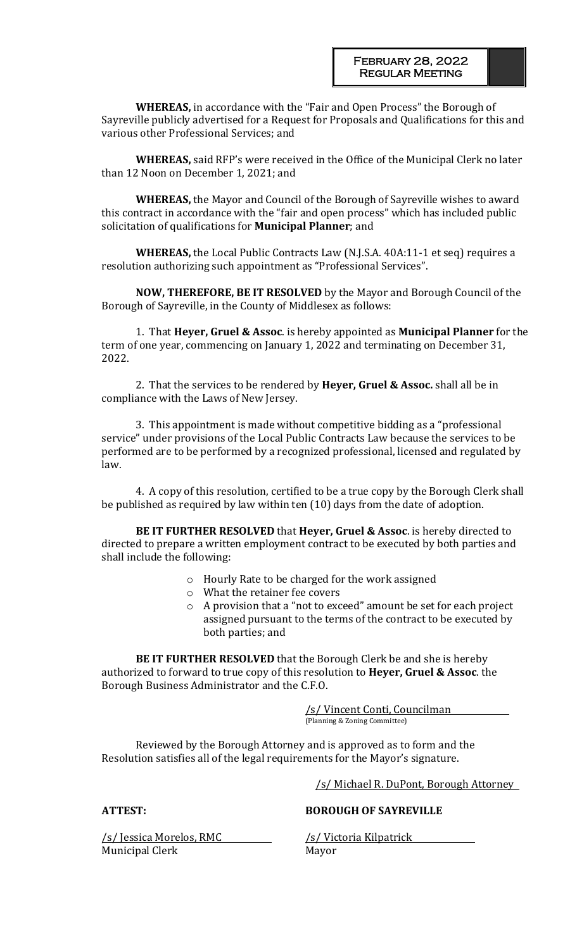**WHEREAS,** in accordance with the "Fair and Open Process" the Borough of Sayreville publicly advertised for a Request for Proposals and Qualifications for this and various other Professional Services; and

**WHEREAS,** said RFP's were received in the Office of the Municipal Clerk no later than 12 Noon on December 1, 2021; and

**WHEREAS,** the Mayor and Council of the Borough of Sayreville wishes to award this contract in accordance with the "fair and open process" which has included public solicitation of qualifications for **Municipal Planner**; and

**WHEREAS,** the Local Public Contracts Law (N.J.S.A. 40A:11-1 et seq) requires a resolution authorizing such appointment as "Professional Services".

**NOW, THEREFORE, BE IT RESOLVED** by the Mayor and Borough Council of the Borough of Sayreville, in the County of Middlesex as follows:

1. That **Heyer, Gruel & Assoc**. is hereby appointed as **Municipal Planner** for the term of one year, commencing on January 1, 2022 and terminating on December 31, 2022.

2. That the services to be rendered by **Heyer, Gruel & Assoc.** shall all be in compliance with the Laws of New Jersey.

3. This appointment is made without competitive bidding as a "professional service" under provisions of the Local Public Contracts Law because the services to be performed are to be performed by a recognized professional, licensed and regulated by law.

4. A copy of this resolution, certified to be a true copy by the Borough Clerk shall be published as required by law within ten (10) days from the date of adoption.

**BE IT FURTHER RESOLVED** that **Heyer, Gruel & Assoc**. is hereby directed to directed to prepare a written employment contract to be executed by both parties and shall include the following:

- o Hourly Rate to be charged for the work assigned
- o What the retainer fee covers
- o A provision that a "not to exceed" amount be set for each project assigned pursuant to the terms of the contract to be executed by both parties; and

**BE IT FURTHER RESOLVED** that the Borough Clerk be and she is hereby authorized to forward to true copy of this resolution to **Heyer, Gruel & Assoc**. the Borough Business Administrator and the C.F.O.

> /s/ Vincent Conti, Councilman (Planning & Zoning Committee)

Reviewed by the Borough Attorney and is approved as to form and the Resolution satisfies all of the legal requirements for the Mayor's signature.

/s/ Michael R. DuPont, Borough Attorney

**ATTEST: BOROUGH OF SAYREVILLE**

/s/ Jessica Morelos, RMC /s/ Victoria Kilpatrick Municipal Clerk Mayor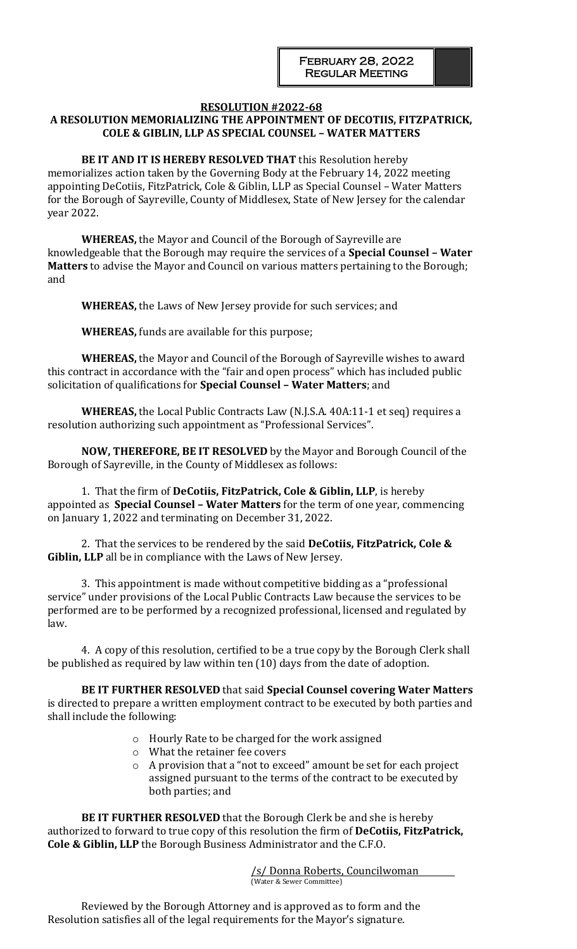#### **RESOLUTION #2022-68 A RESOLUTION MEMORIALIZING THE APPOINTMENT OF DECOTIIS, FITZPATRICK, COLE & GIBLIN, LLP AS SPECIAL COUNSEL – WATER MATTERS**

**BE IT AND IT IS HEREBY RESOLVED THAT** this Resolution hereby memorializes action taken by the Governing Body at the February 14, 2022 meeting appointing DeCotiis, FitzPatrick, Cole & Giblin, LLP as Special Counsel – Water Matters for the Borough of Sayreville, County of Middlesex, State of New Jersey for the calendar year 2022.

**WHEREAS,** the Mayor and Council of the Borough of Sayreville are knowledgeable that the Borough may require the services of a **Special Counsel – Water Matters** to advise the Mayor and Council on various matters pertaining to the Borough; and

**WHEREAS,** the Laws of New Jersey provide for such services; and

**WHEREAS,** funds are available for this purpose;

**WHEREAS,** the Mayor and Council of the Borough of Sayreville wishes to award this contract in accordance with the "fair and open process" which has included public solicitation of qualifications for **Special Counsel – Water Matters**; and

**WHEREAS,** the Local Public Contracts Law (N.J.S.A. 40A:11-1 et seq) requires a resolution authorizing such appointment as "Professional Services".

**NOW, THEREFORE, BE IT RESOLVED** by the Mayor and Borough Council of the Borough of Sayreville, in the County of Middlesex as follows:

1. That the firm of **DeCotiis, FitzPatrick, Cole & Giblin, LLP**, is hereby appointed as **Special Counsel – Water Matters** for the term of one year, commencing on January 1, 2022 and terminating on December 31, 2022.

2. That the services to be rendered by the said **DeCotiis, FitzPatrick, Cole & Giblin, LLP** all be in compliance with the Laws of New Jersey.

3. This appointment is made without competitive bidding as a "professional service" under provisions of the Local Public Contracts Law because the services to be performed are to be performed by a recognized professional, licensed and regulated by law.

4. A copy of this resolution, certified to be a true copy by the Borough Clerk shall be published as required by law within ten (10) days from the date of adoption.

**BE IT FURTHER RESOLVED** that said **Special Counsel covering Water Matters**  is directed to prepare a written employment contract to be executed by both parties and shall include the following:

- o Hourly Rate to be charged for the work assigned
- o What the retainer fee covers
- o A provision that a "not to exceed" amount be set for each project assigned pursuant to the terms of the contract to be executed by both parties; and

**BE IT FURTHER RESOLVED** that the Borough Clerk be and she is hereby authorized to forward to true copy of this resolution the firm of **DeCotiis, FitzPatrick, Cole & Giblin, LLP** the Borough Business Administrator and the C.F.O.

> /s/ Donna Roberts, Councilwoman (Water & Sewer Committee)

Reviewed by the Borough Attorney and is approved as to form and the Resolution satisfies all of the legal requirements for the Mayor's signature.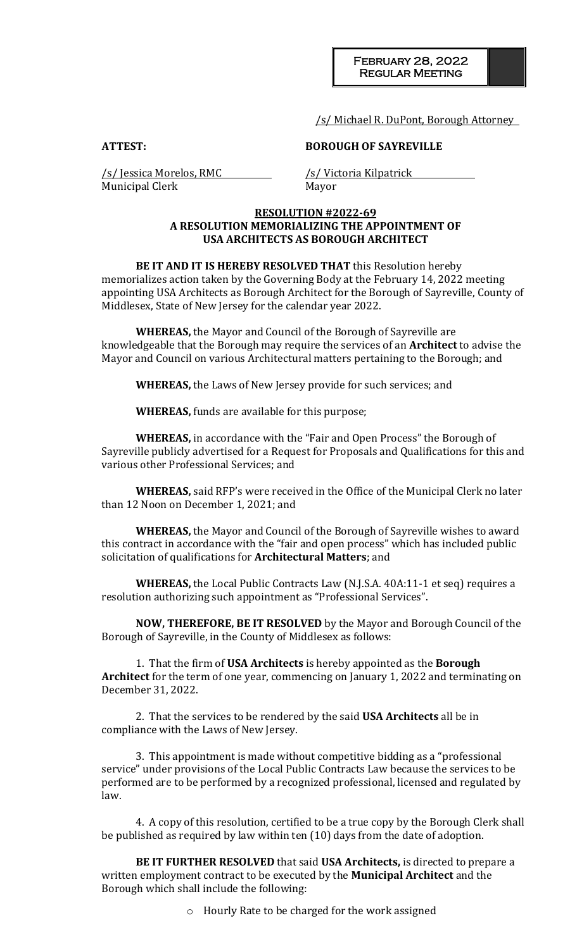/s/ Michael R. DuPont, Borough Attorney

**ATTEST: BOROUGH OF SAYREVILLE**

/s/ Jessica Morelos, RMC /s/ Victoria Kilpatrick Municipal Clerk Mayor

## **RESOLUTION #2022-69 A RESOLUTION MEMORIALIZING THE APPOINTMENT OF USA ARCHITECTS AS BOROUGH ARCHITECT**

**BE IT AND IT IS HEREBY RESOLVED THAT** this Resolution hereby memorializes action taken by the Governing Body at the February 14, 2022 meeting appointing USA Architects as Borough Architect for the Borough of Sayreville, County of Middlesex, State of New Jersey for the calendar year 2022.

**WHEREAS,** the Mayor and Council of the Borough of Sayreville are knowledgeable that the Borough may require the services of an **Architect** to advise the Mayor and Council on various Architectural matters pertaining to the Borough; and

**WHEREAS,** the Laws of New Jersey provide for such services; and

**WHEREAS,** funds are available for this purpose;

**WHEREAS,** in accordance with the "Fair and Open Process" the Borough of Sayreville publicly advertised for a Request for Proposals and Qualifications for this and various other Professional Services; and

**WHEREAS,** said RFP's were received in the Office of the Municipal Clerk no later than 12 Noon on December 1, 2021; and

**WHEREAS,** the Mayor and Council of the Borough of Sayreville wishes to award this contract in accordance with the "fair and open process" which has included public solicitation of qualifications for **Architectural Matters**; and

**WHEREAS,** the Local Public Contracts Law (N.J.S.A. 40A:11-1 et seq) requires a resolution authorizing such appointment as "Professional Services".

**NOW, THEREFORE, BE IT RESOLVED** by the Mayor and Borough Council of the Borough of Sayreville, in the County of Middlesex as follows:

1. That the firm of **USA Architects** is hereby appointed as the **Borough Architect** for the term of one year, commencing on January 1, 2022 and terminating on December 31, 2022.

2. That the services to be rendered by the said **USA Architects** all be in compliance with the Laws of New Jersey.

3. This appointment is made without competitive bidding as a "professional service" under provisions of the Local Public Contracts Law because the services to be performed are to be performed by a recognized professional, licensed and regulated by law.

4. A copy of this resolution, certified to be a true copy by the Borough Clerk shall be published as required by law within ten (10) days from the date of adoption.

**BE IT FURTHER RESOLVED** that said **USA Architects,** is directed to prepare a written employment contract to be executed by the **Municipal Architect** and the Borough which shall include the following:

o Hourly Rate to be charged for the work assigned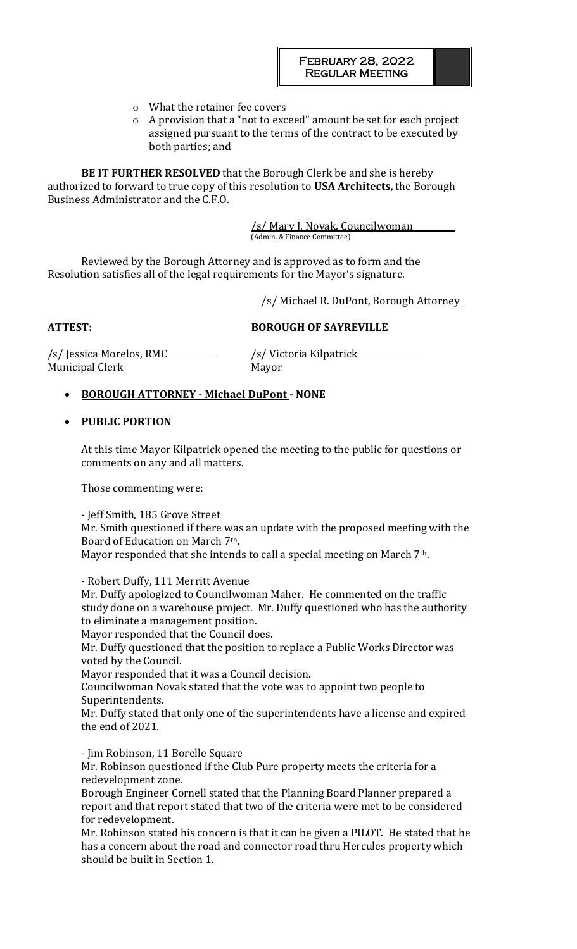- o What the retainer fee covers
- o A provision that a "not to exceed" amount be set for each project assigned pursuant to the terms of the contract to be executed by both parties; and

**BE IT FURTHER RESOLVED** that the Borough Clerk be and she is hereby authorized to forward to true copy of this resolution to **USA Architects,** the Borough Business Administrator and the C.F.O.

> /s/ Mary J. Novak, Councilwoman (Admin. & Finance Committee)

Reviewed by the Borough Attorney and is approved as to form and the Resolution satisfies all of the legal requirements for the Mayor's signature.

/s/ Michael R. DuPont, Borough Attorney

**ATTEST: BOROUGH OF SAYREVILLE**

/s/ Jessica Morelos, RMC /s/ Victoria Kilpatrick Municipal Clerk Mayor

## • **BOROUGH ATTORNEY - Michael DuPont - NONE**

## • **PUBLIC PORTION**

At this time Mayor Kilpatrick opened the meeting to the public for questions or comments on any and all matters.

Those commenting were:

- Jeff Smith, 185 Grove Street Mr. Smith questioned if there was an update with the proposed meeting with the Board of Education on March 7th. Mayor responded that she intends to call a special meeting on March 7<sup>th</sup>.

- Robert Duffy, 111 Merritt Avenue

Mr. Duffy apologized to Councilwoman Maher. He commented on the traffic study done on a warehouse project. Mr. Duffy questioned who has the authority to eliminate a management position.

Mayor responded that the Council does.

Mr. Duffy questioned that the position to replace a Public Works Director was voted by the Council.

Mayor responded that it was a Council decision.

Councilwoman Novak stated that the vote was to appoint two people to Superintendents.

Mr. Duffy stated that only one of the superintendents have a license and expired the end of 2021.

- Jim Robinson, 11 Borelle Square

Mr. Robinson questioned if the Club Pure property meets the criteria for a redevelopment zone.

Borough Engineer Cornell stated that the Planning Board Planner prepared a report and that report stated that two of the criteria were met to be considered for redevelopment.

Mr. Robinson stated his concern is that it can be given a PILOT. He stated that he has a concern about the road and connector road thru Hercules property which should be built in Section 1.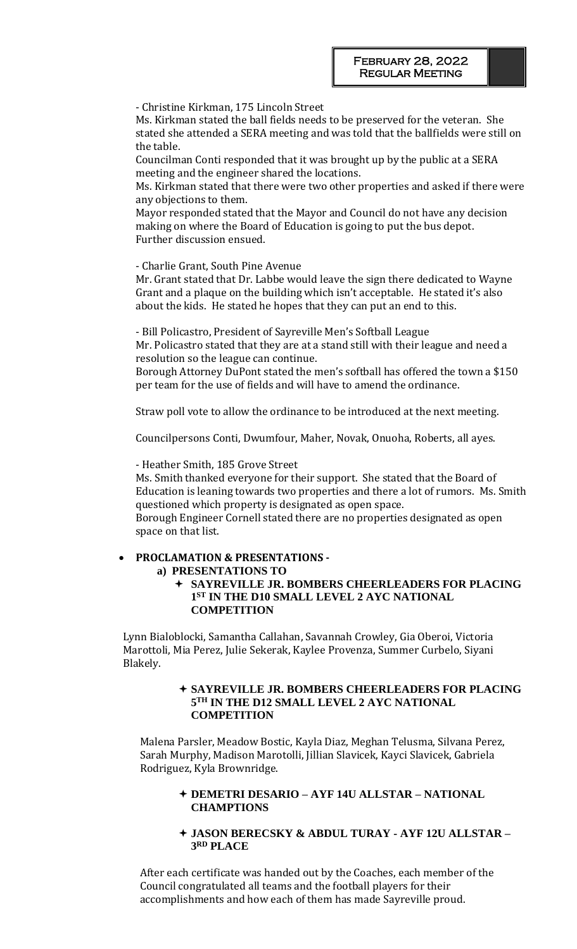- Christine Kirkman, 175 Lincoln Street

Ms. Kirkman stated the ball fields needs to be preserved for the veteran. She stated she attended a SERA meeting and was told that the ballfields were still on the table.

Councilman Conti responded that it was brought up by the public at a SERA meeting and the engineer shared the locations.

Ms. Kirkman stated that there were two other properties and asked if there were any objections to them.

Mayor responded stated that the Mayor and Council do not have any decision making on where the Board of Education is going to put the bus depot. Further discussion ensued.

- Charlie Grant, South Pine Avenue

Mr. Grant stated that Dr. Labbe would leave the sign there dedicated to Wayne Grant and a plaque on the building which isn't acceptable. He stated it's also about the kids. He stated he hopes that they can put an end to this.

- Bill Policastro, President of Sayreville Men's Softball League

Mr. Policastro stated that they are at a stand still with their league and need a resolution so the league can continue.

Borough Attorney DuPont stated the men's softball has offered the town a \$150 per team for the use of fields and will have to amend the ordinance.

Straw poll vote to allow the ordinance to be introduced at the next meeting.

Councilpersons Conti, Dwumfour, Maher, Novak, Onuoha, Roberts, all ayes.

- Heather Smith, 185 Grove Street

Ms. Smith thanked everyone for their support. She stated that the Board of Education is leaning towards two properties and there a lot of rumors. Ms. Smith questioned which property is designated as open space.

Borough Engineer Cornell stated there are no properties designated as open space on that list.

## • **PROCLAMATION & PRESENTATIONS -**

**a) PRESENTATIONS TO**

 **SAYREVILLE JR. BOMBERS CHEERLEADERS FOR PLACING 1 ST IN THE D10 SMALL LEVEL 2 AYC NATIONAL COMPETITION**

Lynn Bialoblocki, Samantha Callahan, Savannah Crowley, Gia Oberoi, Victoria Marottoli, Mia Perez, Julie Sekerak, Kaylee Provenza, Summer Curbelo, Siyani Blakely.

### **SAYREVILLE JR. BOMBERS CHEERLEADERS FOR PLACING 5 TH IN THE D12 SMALL LEVEL 2 AYC NATIONAL COMPETITION**

Malena Parsler, Meadow Bostic, Kayla Diaz, Meghan Telusma, Silvana Perez, Sarah Murphy, Madison Marotolli, Jillian Slavicek, Kayci Slavicek, Gabriela Rodriguez, Kyla Brownridge.

## **DEMETRI DESARIO – AYF 14U ALLSTAR – NATIONAL CHAMPTIONS**

## **JASON BERECSKY & ABDUL TURAY - AYF 12U ALLSTAR – 3 RD PLACE**

After each certificate was handed out by the Coaches, each member of the Council congratulated all teams and the football players for their accomplishments and how each of them has made Sayreville proud.